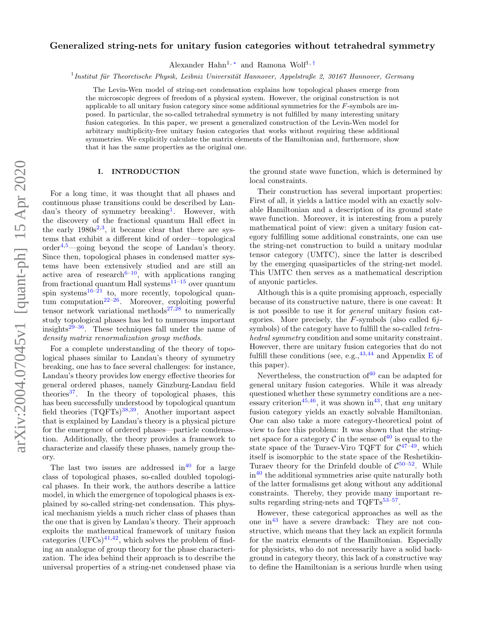# Generalized string-nets for unitary fusion categories without tetrahedral symmetry

Alexander Hahn<sup>1,\*</sup> and Ramona Wolf<sup>1,[†](#page-21-1)</sup>

<sup>1</sup> Institut für Theoretische Physik, Leibniz Universität Hannover, Appelstraße 2, 30167 Hannover, Germany

The Levin-Wen model of string-net condensation explains how topological phases emerge from the microscopic degrees of freedom of a physical system. However, the original construction is not applicable to all unitary fusion category since some additional symmetries for the F-symbols are imposed. In particular, the so-called tetrahedral symmetry is not fulfilled by many interesting unitary fusion categories. In this paper, we present a generalized construction of the Levin-Wen model for arbitrary multiplicity-free unitary fusion categories that works without requiring these additional symmetries. We explicitly calculate the matrix elements of the Hamiltonian and, furthermore, show that it has the same properties as the original one.

### I. INTRODUCTION

For a long time, it was thought that all phases and continuous phase transitions could be described by Lan-dau's theory of symmetry breaking<sup>[1](#page-21-2)</sup>. However, with the discovery of the fractional quantum Hall effect in the early  $1980s^{2,3}$  $1980s^{2,3}$  $1980s^{2,3}$  $1980s^{2,3}$ , it became clear that there are systems that exhibit a different kind of order—topological  $order<sup>4,5</sup>$  $order<sup>4,5</sup>$  $order<sup>4,5</sup>$  $order<sup>4,5</sup>$ —going beyond the scope of Landau's theory. Since then, topological phases in condensed matter systems have been extensively studied and are still an active area of research<sup> $6-10$  $6-10$ </sup>, with applications ranging from fractional quantum Hall systems $11-15$  $11-15$  over quantum spin systems<sup>[16–](#page-21-11)[21](#page-22-0)</sup> to, more recently, topological quan-tum computation<sup>[22–](#page-22-1)[26](#page-22-2)</sup>. Moreover, exploiting powerful tensor network variational methods<sup>[27](#page-22-3)[,28](#page-22-4)</sup> to numerically study topological phases has led to numerous important insights $29-36$  $29-36$ . These techniques fall under the name of density matrix renormalization group methods.

For a complete understanding of the theory of topological phases similar to Landau's theory of symmetry breaking, one has to face several challenges: for instance, Landau's theory provides low energy effective theories for general ordered phases, namely Ginzburg-Landau field theories<sup>[37](#page-22-7)</sup>. In the theory of topological phases, this has been successfully understood by topological quantum field theories  $(TQFTs)^{38,39}$  $(TQFTs)^{38,39}$  $(TQFTs)^{38,39}$  $(TQFTs)^{38,39}$ . Another important aspect that is explained by Landau's theory is a physical picture for the emergence of ordered phases—particle condensation. Additionally, the theory provides a framework to characterize and classify these phases, namely group theory.

The last two issues are addressed in  $40$  for a large class of topological phases, so-called doubled topological phases. In their work, the authors describe a lattice model, in which the emergence of topological phases is explained by so-called string-net condensation. This physical mechanism yields a much richer class of phases than the one that is given by Landau's theory. Their approach exploits the mathematical framework of unitary fusion categories  $(UFCs)^{41,42}$  $(UFCs)^{41,42}$  $(UFCs)^{41,42}$  $(UFCs)^{41,42}$ , which solves the problem of finding an analogue of group theory for the phase characterization. The idea behind their approach is to describe the universal properties of a string-net condensed phase via

the ground state wave function, which is determined by local constraints.

Their construction has several important properties: First of all, it yields a lattice model with an exactly solvable Hamiltonian and a description of its ground state wave function. Moreover, it is interesting from a purely mathematical point of view: given a unitary fusion category fulfilling some additional constraints, one can use the string-net construction to build a unitary modular tensor category (UMTC), since the latter is described by the emerging quasiparticles of the string-net model. This UMTC then serves as a mathematical description of anyonic particles.

Although this is a quite promising approach, especially because of its constructive nature, there is one caveat: It is not possible to use it for general unitary fusion categories. More precisely, the  $F$ -symbols (also called 6jsymbols) of the category have to fulfill the so-called *tetra*hedral symmetry condition and some unitarity constraint. However, there are unitary fusion categories that do not fulfill these conditions (see, e.g.,  $43,44$  $43,44$  and Appendix [E](#page-20-0) of this paper).

Nevertheless, the construction of  $40$  can be adapted for general unitary fusion categories. While it was already questioned whether these symmetry conditions are a nec-essary criterion<sup>[45](#page-22-15)[,46](#page-22-16)</sup>, it was shown in<sup>[43](#page-22-13)</sup>, that *any* unitary fusion category yields an exactly solvable Hamiltonian. One can also take a more category-theoretical point of view to face this problem: It was shown that the stringnet space for a category  $\mathcal C$  in the sense of  $40$  is equal to the state space of the Turaev-Viro TQFT for  $C^{47-49}$  $C^{47-49}$  $C^{47-49}$ , which itself is isomorphic to the state space of the Reshetikin-Turaev theory for the Drinfeld double of  $C^{50-52}$  $C^{50-52}$  $C^{50-52}$ . While  $in<sup>40</sup>$  $in<sup>40</sup>$  $in<sup>40</sup>$  the additional symmetries arise quite naturally both of the latter formalisms get along without any additional constraints. Thereby, they provide many important results regarding string-nets and  $TQFTs^{53-57}$  $TQFTs^{53-57}$  $TQFTs^{53-57}$ .

However, these categorical approaches as well as the one in[43](#page-22-13) have a severe drawback: They are not constructive, which means that they lack an explicit formula for the matrix elements of the Hamiltonian. Especially for physicists, who do not necessarily have a solid background in category theory, this lack of a constructive way to define the Hamiltonian is a serious hurdle when using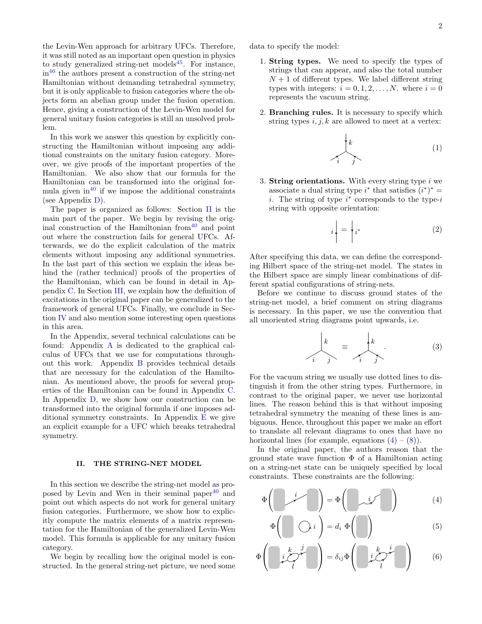the Levin-Wen approach for arbitrary UFCs. Therefore, it was still noted as an important open question in physics to study generalized string-net models<sup>[45](#page-22-15)</sup>. For instance,  $in<sup>46</sup>$  $in<sup>46</sup>$  $in<sup>46</sup>$  the authors present a construction of the string-net Hamiltonian without demanding tetrahedral symmetry, but it is only applicable to fusion categories where the objects form an abelian group under the fusion operation. Hence, giving a construction of the Levin-Wen model for general unitary fusion categories is still an unsolved problem.

In this work we answer this question by explicitly constructing the Hamiltonian without imposing any additional constraints on the unitary fusion category. Moreover, we give proofs of the important properties of the Hamiltonian. We also show that our formula for the Hamiltonian can be transformed into the original formula given in $40$  if we impose the additional constraints (see Appendix [D\)](#page-18-0).

The paper is organized as follows: Section [II](#page-1-0) is the main part of the paper. We begin by revising the original construction of the Hamiltonian from  $\frac{40}{10}$  $\frac{40}{10}$  $\frac{40}{10}$  and point out where the construction fails for general UFCs. Afterwards, we do the explicit calculation of the matrix elements without imposing any additional symmetries. In the last part of this section we explain the ideas behind the (rather technical) proofs of the properties of the Hamiltonian, which can be found in detail in Appendix [C.](#page-12-0) In Section [III,](#page-7-0) we explain how the definition of excitations in the original paper can be generalized to the framework of general UFCs. Finally, we conclude in Section [IV](#page-8-0) and also mention some interesting open questions in this area.

In the Appendix, several technical calculations can be found: Appendix [A](#page-9-0) is dedicated to the graphical calculus of UFCs that we use for computations throughout this work. Appendix [B](#page-11-0) provides technical details that are necessary for the calculation of the Hamiltonian. As mentioned above, the proofs for several properties of the Hamiltonian can be found in Appendix [C.](#page-12-0) In Appendix [D,](#page-18-0) we show how our construction can be transformed into the original formula if one imposes additional symmetry constraints. In Appendix  $E$  we give an explicit example for a UFC which breaks tetrahedral symmetry.

### <span id="page-1-0"></span>II. THE STRING-NET MODEL

In this section we describe the string-net model as proposed by Levin and Wen in their seminal paper $40$  and point out which aspects do not work for general unitary fusion categories. Furthermore, we show how to explicitly compute the matrix elements of a matrix representation for the Hamiltonian of the generalized Levin-Wen model. This formula is applicable for any unitary fusion category.

We begin by recalling how the original model is constructed. In the general string-net picture, we need some

- 1. String types. We need to specify the types of strings that can appear, and also the total number  $N+1$  of different types. We label different string types with integers:  $i = 0, 1, 2, \ldots, N$ . where  $i = 0$ represents the vacuum string.
- 2. Branching rules. It is necessary to specify which string types  $i, j, k$  are allowed to meet at a vertex:

$$
\begin{array}{c}\n\downarrow \\
\downarrow \\
i\n\end{array}
$$
\n(1)

3. String orientations. With every string type  $i$  we associate a dual string type  $i^*$  that satisfies  $(i^*)^* =$ i. The string of type  $i^*$  corresponds to the type-i string with opposite orientation:

$$
i \left| \right. = \left| i^* \right| \tag{2}
$$

After specifying this data, we can define the corresponding Hilbert space of the string-net model. The states in the Hilbert space are simply linear combinations of different spatial configurations of string-nets.

Before we continue to discuss ground states of the string-net model, a brief comment on string diagrams is necessary. In this paper, we use the convention that all unoriented string diagrams point upwards, i.e.

<span id="page-1-2"></span>
$$
\begin{array}{c}\n\downarrow \\
k \\
\hline\ni\n\end{array} \equiv \begin{array}{c}\n\downarrow \\
k \\
\hline\ni\n\end{array} \tag{3}
$$

For the vacuum string we usually use dotted lines to distinguish it from the other string types. Furthermore, in contrast to the original paper, we never use horizontal lines. The reason behind this is that without imposing tetrahedral symmetry the meaning of these lines is ambiguous. Hence, throughout this paper we make an effort to translate all relevant diagrams to ones that have no horizontal lines (for example, equations  $(4) - (8)$  $(4) - (8)$  $(4) - (8)$ ).

In the original paper, the authors reason that the ground state wave function  $\Phi$  of a Hamiltonian acting on a string-net state can be uniquely specified by local constraints. These constraints are the following:

$$
\Phi\left(\begin{array}{cc} i \\ i \end{array}\right) = \Phi\left(\begin{array}{cc} i \\ i \end{array}\right) \tag{4}
$$

<span id="page-1-3"></span><span id="page-1-1"></span>
$$
\Phi\left(\bigotimes i\right) = d_i \Phi\left(\bigotimes\right) \tag{5}
$$

$$
\Phi\left(\begin{array}{c} k & j \\ i & \sqrt{\phantom{a}}\\ l & l \end{array}\right) = \delta_{ij}\Phi\left(\begin{array}{c} k & i \\ i & \sqrt{\phantom{a}}\\ l & l \end{array}\right) \tag{6}
$$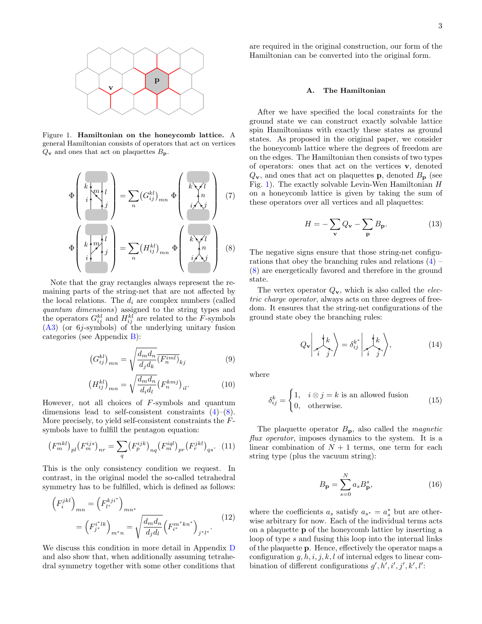

<span id="page-2-1"></span>Figure 1. Hamiltonian on the honeycomb lattice. A general Hamiltonian consists of operators that act on vertices  $Q_{\mathbf{v}}$  and ones that act on plaquettes  $B_{\mathbf{p}}$ .

$$
\Phi\left(\begin{array}{c}\nk_{m} \\
i_{m} \\
j_{m}\n\end{array}\right) = \sum_{n} (G_{ij}^{kl})_{mn} \Phi\left(\begin{array}{c}\nk_{m} \\
i_{m} \\
j_{m}\n\end{array}\right) \tag{7}
$$
\n
$$
\Phi\left(\begin{array}{c}\nk_{m} \\
i_{m} \\
j_{m}\n\end{array}\right) = \sum_{n} (H_{ij}^{kl})_{mn} \Phi\left(\begin{array}{c}\nk_{m} \\
i_{m} \\
j_{m}\n\end{array}\right) \tag{8}
$$

Note that the gray rectangles always represent the remaining parts of the string-net that are not affected by the local relations. The  $d_i$  are complex numbers (called quantum dimensions) assigned to the string types and the operators  $G_{ij}^{kl}$  and  $H_{ij}^{kl}$  are related to the F-symbols [\(A3\)](#page-9-1) (or 6j-symbols) of the underlying unitary fusion categories (see Appendix [B\)](#page-11-0):

$$
\left(G_{ij}^{kl}\right)_{mn} = \sqrt{\frac{d_m d_n}{d_j d_k} \overline{\left(F_n^{iml}\right)}_{kj}}\tag{9}
$$

$$
\left(H_{ij}^{kl}\right)_{mn} = \sqrt{\frac{d_m d_n}{d_i d_l}} \left(F_n^{kmj}\right)_{il}.\tag{10}
$$

However, not all choices of F-symbols and quantum dimensions lead to self-consistent constraints  $(4)$ – $(8)$ . More precisely, to yield self-consistent constraints the Fsymbols have to fulfill the pentagon equation:

<span id="page-2-2"></span>
$$
(F_m^{nkl})_{pl} (F_m^{ijs})_{nr} = \sum_q (F_p^{ijk})_{nq} (F_m^{iql})_{pr} (F_r^{jkl})_{qs}. \quad (11)
$$

This is the only consistency condition we request. In contrast, in the original model the so-called tetrahedral symmetry has to be fulfilled, which is defined as follows:

$$
\left(F_i^{jkl}\right)_{mn} = \left(F_{l^*}^{kji^*}\right)_{mn^*}
$$
\n
$$
= \left(F_{j^*}^{i^*lk}\right)_{m^*n} = \sqrt{\frac{d_m d_n}{d_j d_l}} \left(F_{i^*}^{m^*kn^*}\right)_{j^*l^*}.
$$
\n(12)

We discuss this condition in more detail in Appendix [D](#page-18-0) and also show that, when additionally assuming tetrahedral symmetry together with some other conditions that are required in the original construction, our form of the Hamiltonian can be converted into the original form.

#### A. The Hamiltonian

After we have specified the local constraints for the ground state we can construct exactly solvable lattice spin Hamiltonians with exactly these states as ground states. As proposed in the original paper, we consider the honeycomb lattice where the degrees of freedom are on the edges. The Hamiltonian then consists of two types of operators: ones that act on the vertices v, denoted  $Q_{\mathbf{v}}$ , and ones that act on plaquettes **p**, denoted  $B_{\mathbf{p}}$  (see Fig. [1\)](#page-2-1). The exactly solvable Levin-Wen Hamiltonian  $H$ on a honeycomb lattice is given by taking the sum of these operators over all vertices and all plaquettes:

$$
H = -\sum_{\mathbf{v}} Q_{\mathbf{v}} - \sum_{\mathbf{p}} B_{\mathbf{p}}.
$$
 (13)

<span id="page-2-3"></span><span id="page-2-0"></span>The negative signs ensure that those string-net configurations that obey the branching rules and relations  $(4)$  – [\(8\)](#page-2-0) are energetically favored and therefore in the ground state.

The vertex operator  $Q_v$ , which is also called the *elec*tric charge operator, always acts on three degrees of freedom. It ensures that the string-net configurations of the ground state obey the branching rules:

$$
Q_{\mathbf{v}}\left|\frac{\downarrow k}{i}\right\rangle = \delta_{ij}^{k^*}\left|\frac{\downarrow k}{i}\right\rangle, \tag{14}
$$

where

<span id="page-2-4"></span>
$$
\delta_{ij}^k = \begin{cases} 1, & i \otimes j = k \text{ is an allowed fusion} \\ 0, & \text{otherwise.} \end{cases}
$$
 (15)

The plaquette operator  $B_{\rm p}$ , also called the *magnetic* flux operator, imposes dynamics to the system. It is a linear combination of  $N + 1$  terms, one term for each string type (plus the vacuum string):

$$
B_{\mathbf{p}} = \sum_{s=0}^{N} a_s B_{\mathbf{p}}^s,\tag{16}
$$

<span id="page-2-5"></span>where the coefficients  $a_s$  satisfy  $a_{s^*} = a_s^*$  but are otherwise arbitrary for now. Each of the individual terms acts on a plaquette p of the honeycomb lattice by inserting a loop of type s and fusing this loop into the internal links of the plaquette p. Hence, effectively the operator maps a configuration  $q, h, i, j, k, l$  of internal edges to linear combination of different configurations  $g', h', i', j', k', l'$ :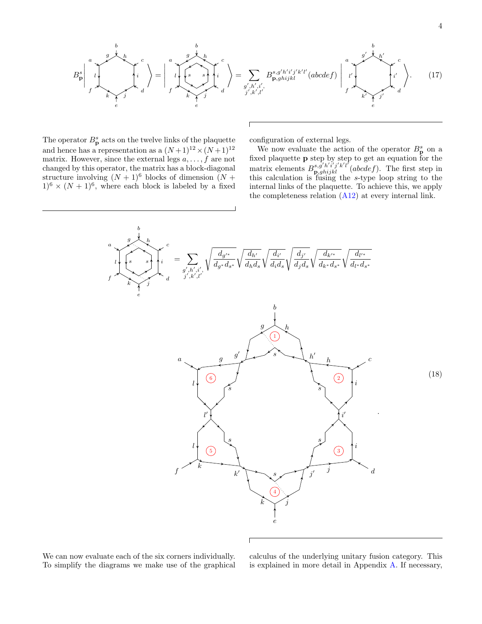<span id="page-3-1"></span>

The operator  $B_p^s$  acts on the twelve links of the plaquette and hence has a representation as a  $(N+1)^{12} \times (N+1)^{12}$ matrix. However, since the external legs  $a, \ldots, f$  are not changed by this operator, the matrix has a block-diagonal structure involving  $(N + 1)^6$  blocks of dimension  $(N +$  $1)^{6} \times (N+1)^{6}$ , where each block is labeled by a fixed

configuration of external legs.

We now evaluate the action of the operator  $B_p^s$  on a fixed plaquette p step by step to get an equation for the matrix elements  $B^{s,g'h'i'j'k'l'}_{\mathbf{p},ghijkl}$  (abcdef). The first step in this calculation is fusing the s-type loop string to the internal links of the plaquette. To achieve this, we apply the completeness relation  $(A12)$  at every internal link.

<span id="page-3-0"></span>

We can now evaluate each of the six corners individually. To simplify the diagrams we make use of the graphical

calculus of the underlying unitary fusion category. This is explained in more detail in Appendix [A.](#page-9-0) If necessary,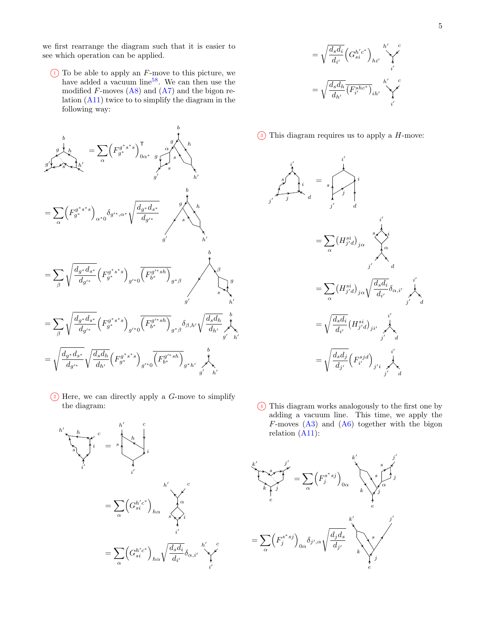we first rearrange the diagram such that it is easier to see which operation can be applied.

 $\overline{1}$  To be able to apply an F-move to this picture, we have added a vacuum line<sup>[58](#page-22-23)</sup>. We can then use the modified  $F$ -moves  $(A8)$  and  $(A7)$  and the bigon relation [\(A11\)](#page-10-3) twice to to simplify the diagram in the following way:



 $(2)$  Here, we can directly apply a *G*-move to simplify the diagram:



$$
= \sqrt{\frac{d_s d_i}{d_{i'}}} \left(G_{si}^{h'c^*}\right)_{hi'}
$$

$$
= \sqrt{\frac{d_s d_h}{d_{h'}}} \overline{\left(F_{i'}^{shc^*}\right)}_{ih'} \sqrt{\sum_{i'}^{c'}
$$





<sup>4</sup> This diagram works analogously to the first one by adding a vacuum line. This time, we apply the  $F$ -moves  $(A3)$  and  $(A6)$  together with the bigon relation  $(A11)$ :

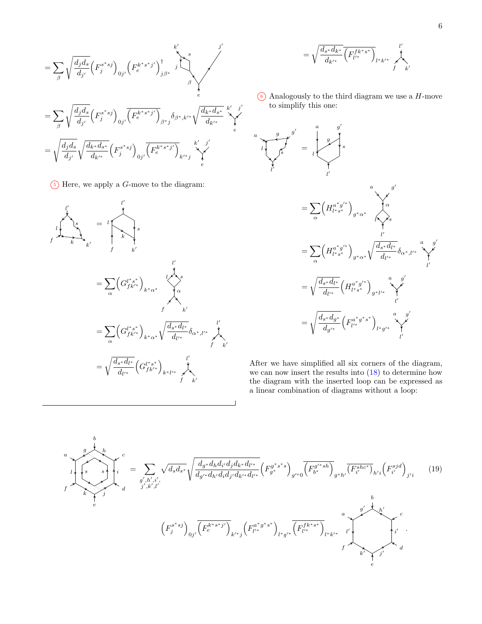$$
= \sum_{\beta} \sqrt{\frac{d_j d_s}{d_{j'}}} \left( F_j^{s^*sj} \right)_{0j'} \left( F_e^{k^*s^*j'} \right)_{j\beta^*}^{\dagger} \sum_{\beta}^s
$$
  

$$
= \sum_{\beta} \sqrt{\frac{d_j d_s}{d_{j'}}} \left( F_j^{s^*sj} \right)_{0j'} \overline{\left( F_e^{k^*s^*j'} \right)_{\beta^*j}} \delta_{\beta^*,k'^*} \sqrt{\frac{d_{k^*} d_{s^*}}{d_{k'^*}}} \bigg|_{e}^{k' - j'}
$$
  

$$
= \sqrt{\frac{d_j d_s}{d_{j'}}} \sqrt{\frac{d_{k^*} d_{s^*}}{d_{k'^*}}} \left( F_j^{s^*sj} \right)_{0j'} \overline{\left( F_e^{k^*s^*j'} \right)_{k'^*j}} \bigg|_{k'^*j}^{k' - j'}
$$

 $(5)$  Here, we apply a *G*-move to the diagram:



$$
=\sqrt{\frac{d_{s^*}d_{k^*}}{d_{k'^*}}}\overline{\left(F^{f k^*s^*}_{l'^*}\right)}_{l^*k'^*}\bigg)^{l'}_{f'k'}
$$

 $\left(6\right)$  Analogously to the third diagram we use a H-move to simplify this one:



After we have simplified all six corners of the diagram, we can now insert the results into [\(18\)](#page-3-0) to determine how the diagram with the inserted loop can be expressed as a linear combination of diagrams without a loop:

$$
\sum_{j}^{a} \sum_{k}^{b} k \left\{ \sum_{j',k',i'}^{c} \sqrt{d_{s}d_{s}} \sqrt{\frac{d_{g^*}d_{h}d_{i'}d_{j}d_{k^*}d_{l'^*}}{d_{g'^*}d_{h'}d_{i}d_{j'}d_{k'^*}d_{l'^*}}} \left( F_{g^*}^{g^*s^*s} \right)_{g'^*0} \overline{\left( F_{b^*}^{g'^*s h} \right)}_{g^*h'} \overline{\left( F_{i'}^{s h c^*} \right)_{h'i} \left( F_{i'}^{s j d} \right)_{j'i}} \qquad (19)
$$
\n
$$
\sum_{e}^{b} \left( F_{j}^{s^*s j} \right)_{0j'} \overline{\left( F_{e}^{k^*s^*j'} \right)_{k'^*j}} \left( F_{l'^*}^{a^*g^*s^*} \right)_{l^*g'^*} \overline{\left( F_{l'^*}^{f k^*s^*} \right)_{l^*k'^*}} \qquad \qquad \sum_{e}^{a} \sum_{k' \atop e}^{g' k} \overline{\left( F_{i'}^{f k^*s^*} \right)_{k' k'}}
$$
\n
$$
\sum_{e}^{a} \left( F_{j}^{s^*s j} \right)_{0j'} \overline{\left( F_{e}^{k^*s^*j'} \right)_{k'^*j}} \left( F_{l'^*}^{a^*g^*s^*} \right)_{l^*g'^*} \overline{\left( F_{l'^*}^{f k^*s^*} \right)_{l^*k'^*}} \qquad \qquad \sum_{e}^{a} \sum_{k' \atop e}^{g' k'} \overline{\left( F_{i'}^{f k'^*s} \right)_{k' k' k'}}
$$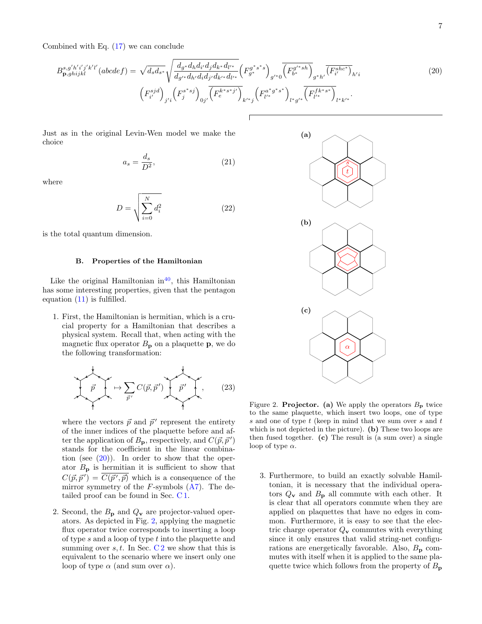Combined with Eq. [\(17\)](#page-3-1) we can conclude

$$
B_{\mathbf{p},ghijkl}^{s,g'h'i'j'k'l'}(abcdef) = \sqrt{d_s d_{s^*}} \sqrt{\frac{d_{g^*} d_h d_{i'} d_j d_{k^*} d_{l'^*}}{d_{g'^*} d_{h'} d_i d_j d_{k^*} d_{l'^*}}} \left(F_{g^*}^{g^*s^*s}\right)_{g'^*0} \overline{\left(F_{b^*}^{g'^*s h}\right)_{g'^* h'} \overline{\left(F_{i'}^{shc^*}\right)_{h'i}}}
$$
\n
$$
\left(F_{i'}^{sjd}\right)_{j'i} \left(F_{j}^{s^*s j}\right)_{0j'} \overline{\left(F_{e}^{k^*s^*j'}\right)_{k'^*j} \left(F_{l'^*}^{a^*g^*s^*}\right)_{l^*g'^*} \overline{\left(F_{l'^*}^{fk^*s^*}\right)_{l^*k'^*}}.
$$
\n(20)

Just as in the original Levin-Wen model we make the choice

$$
a_s = \frac{d_s}{D^2},\tag{21}
$$

where

$$
D = \sqrt{\sum_{i=0}^{N} d_i^2}
$$
 (22)

is the total quantum dimension.

#### B. Properties of the Hamiltonian

Like the original Hamiltonian in<sup>[40](#page-22-10)</sup>, this Hamiltonian has some interesting properties, given that the pentagon equation [\(11\)](#page-2-2) is fulfilled.

1. First, the Hamiltonian is hermitian, which is a crucial property for a Hamiltonian that describes a physical system. Recall that, when acting with the magnetic flux operator  $B_p$  on a plaquette **p**, we do the following transformation:

$$
\vec{p} \mapsto \sum_{\vec{p}'} C(\vec{p}, \vec{p}') \underbrace{\vec{p}'}_{\vec{p}'} \underbrace{\vec{p}'}_{\text{(23)}}
$$

where the vectors  $\vec{p}$  and  $\vec{p}'$  represent the entirety of the inner indices of the plaquette before and after the application of  $B_{\mathbf{p}}$ , respectively, and  $C(\vec{p}, \vec{p}')$ stands for the coefficient in the linear combination (see  $(20)$ ). In order to show that the operator  $B_{\rm p}$  is hermitian it is sufficient to show that  $C(\vec{p}, \vec{p}') = \overline{C(\vec{p}', \vec{p})}$  which is a consequence of the mirror symmetry of the  $F$ -symbols  $(A7)$ . The detailed proof can be found in Sec. [C 1.](#page-12-1)

2. Second, the  $B_{\rm p}$  and  $Q_{\rm v}$  are projector-valued operators. As depicted in Fig. [2,](#page-6-1) applying the magnetic flux operator twice corresponds to inserting a loop of type s and a loop of type t into the plaquette and summing over s, t. In Sec.  $C2$  we show that this is equivalent to the scenario where we insert only one loop of type  $\alpha$  (and sum over  $\alpha$ ).

<span id="page-6-0"></span>

<span id="page-6-1"></span>Figure 2. **Projector.** (a) We apply the operators  $B_p$  twice to the same plaquette, which insert two loops, one of type s and one of type  $t$  (keep in mind that we sum over  $s$  and  $t$ which is not depicted in the picture). (b) These two loops are then fused together. (c) The result is (a sum over) a single loop of type  $\alpha$ .

3. Furthermore, to build an exactly solvable Hamiltonian, it is necessary that the individual operators  $Q_v$  and  $B_p$  all commute with each other. It is clear that all operators commute when they are applied on plaquettes that have no edges in common. Furthermore, it is easy to see that the electric charge operator  $Q_{\mathbf{v}}$  commutes with everything since it only ensures that valid string-net configurations are energetically favorable. Also,  $B_{\rm p}$  commutes with itself when it is applied to the same plaquette twice which follows from the property of  $B_{\mathbf{p}}$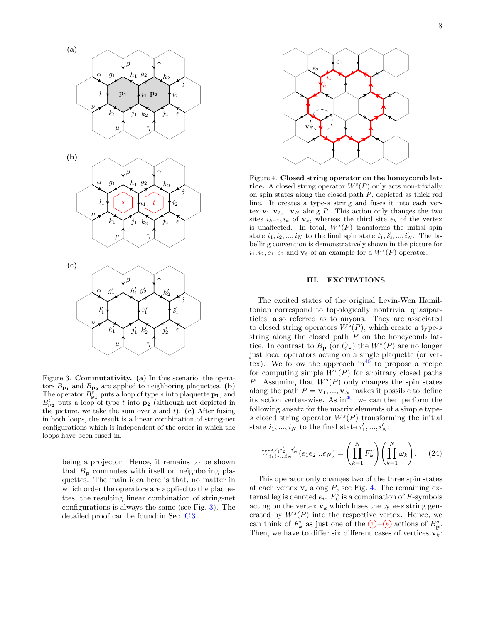

<span id="page-7-1"></span>Figure 3. Commutativity. (a) In this scenario, the operators  $B_{\mathbf{p_1}}$  and  $B_{\mathbf{p_2}}$  are applied to neighboring plaquettes. (b) The operator  $B_{\mathbf{p_1}}^s$  puts a loop of type s into plaquette  $\mathbf{p_1}$ , and  $B_{\mathbf{p_2}}^t$  puts a loop of type t into  $\mathbf{p_2}$  (although not depicted in the picture, we take the sum over s and t). (c) After fusing in both loops, the result is a linear combination of string-net configurations which is independent of the order in which the loops have been fused in.

being a projector. Hence, it remains to be shown that  $B_{\rm p}$  commutes with itself on neighboring plaquettes. The main idea here is that, no matter in which order the operators are applied to the plaquettes, the resulting linear combination of string-net configurations is always the same (see Fig. [3\)](#page-7-1). The detailed proof can be found in Sec. [C 3.](#page-15-0)



<span id="page-7-2"></span>Figure 4. Closed string operator on the honeycomb lattice. A closed string operator  $W^s(P)$  only acts non-trivially on spin states along the closed path P, depicted as thick red line. It creates a type-s string and fuses it into each vertex  $v_1, v_2, ... v_N$  along P. This action only changes the two sites  $i_{k-1}, i_k$  of  $\mathbf{v}_k$ , whereas the third site  $e_k$  of the vertex is unaffected. In total,  $W^{s}(P)$  transforms the initial spin state  $i_1, i_2, ..., i_N$  to the final spin state  $i'_1, i'_2, ..., i'_N$ . The labelling convention is demonstratively shown in the picture for  $i_1, i_2, e_1, e_2$  and  $\mathbf{v}_6$  of an example for a  $W^s(P)$  operator.

#### <span id="page-7-0"></span>III. EXCITATIONS

The excited states of the original Levin-Wen Hamiltonian correspond to topologically nontrivial quasiparticles, also referred as to anyons. They are associated to closed string operators  $W^s(P)$ , which create a type-s string along the closed path  $P$  on the honeycomb lattice. In contrast to  $B_{\mathbf{p}}$  (or  $Q_{\mathbf{v}}$ ) the  $W^{s}(P)$  are no longer just local operators acting on a single plaquette (or vertex). We follow the approach in  $40^{\circ}$  $40^{\circ}$  to propose a recipe for computing simple  $W^s(P)$  for arbitrary closed paths P. Assuming that  $W<sup>s</sup>(P)$  only changes the spin states along the path  $P = \mathbf{v}_1, ..., \mathbf{v}_N$  makes it possible to define its action vertex-wise. As  $\text{in}^{40}$  $\text{in}^{40}$  $\text{in}^{40}$ , we can then perform the following ansatz for the matrix elements of a simple types closed string operator  $W<sup>s</sup>(P)$  transforming the initial state  $i_1, ..., i_N$  to the final state  $i'_1, ..., i'_N$ :

$$
W_{i_1 i_2 \dots i_N}^{s, i'_1 i'_2 \dots i'_N} (e_1 e_2 \dots e_N) = \left( \prod_{k=1}^N F_k^s \right) \left( \prod_{k=1}^N \omega_k \right). \tag{24}
$$

This operator only changes two of the three spin states at each vertex  $v_i$  along P, see Fig. [4.](#page-7-2) The remaining external leg is denoted  $e_i$ .  $F_k^s$  is a combination of  $F$ -symbols acting on the vertex  $v_k$  which fuses the type-s string generated by  $W^s(P)$  into the respective vertex. Hence, we can think of  $F_k^s$  as just one of the  $(1)$ - $(6)$  actions of  $B_p^s$ . Then, we have to differ six different cases of vertices  $\mathbf{v}_k$ :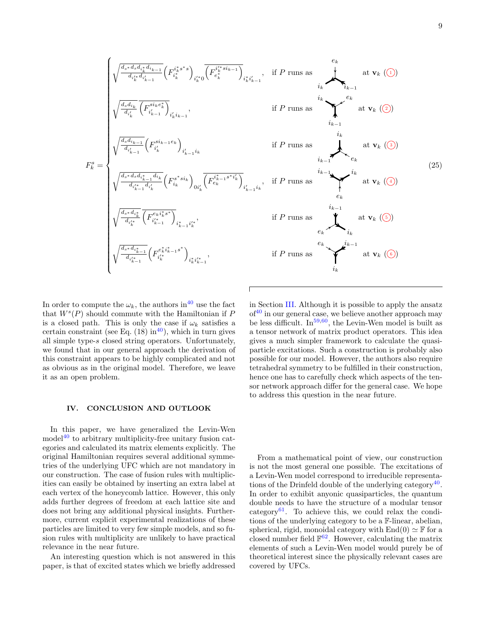9



In order to compute the  $\omega_k$ , the authors in<sup>[40](#page-22-10)</sup> use the fact that  $W<sup>s</sup>(P)$  should commute with the Hamiltonian if  $P$ is a closed path. This is only the case if  $\omega_k$  satisfies a certain constraint (see Eq.  $(18)$  in<sup>[40](#page-22-10)</sup>), which in turn gives all simple type-s closed string operators. Unfortunately, we found that in our general approach the derivation of this constraint appears to be highly complicated and not as obvious as in the original model. Therefore, we leave it as an open problem.

### <span id="page-8-0"></span>IV. CONCLUSION AND OUTLOOK

In this paper, we have generalized the Levin-Wen model $^{40}$  $^{40}$  $^{40}$  to arbitrary multiplicity-free unitary fusion categories and calculated its matrix elements explicitly. The original Hamiltonian requires several additional symmetries of the underlying UFC which are not mandatory in our construction. The case of fusion rules with multiplicities can easily be obtained by inserting an extra label at each vertex of the honeycomb lattice. However, this only adds further degrees of freedom at each lattice site and does not bring any additional physical insights. Furthermore, current explicit experimental realizations of these particles are limited to very few simple models, and so fusion rules with multiplicity are unlikely to have practical relevance in the near future.

An interesting question which is not answered in this paper, is that of excited states which we briefly addressed in Section [III.](#page-7-0) Although it is possible to apply the ansatz  $of<sup>40</sup>$  $of<sup>40</sup>$  $of<sup>40</sup>$  in our general case, we believe another approach may be less difficult. In<sup>[59](#page-22-24)[,60](#page-22-25)</sup>, the Levin-Wen model is built as a tensor network of matrix product operators. This idea gives a much simpler framework to calculate the quasiparticle excitations. Such a construction is probably also possible for our model. However, the authors also require tetrahedral symmetry to be fulfilled in their construction, hence one has to carefully check which aspects of the tensor network approach differ for the general case. We hope to address this question in the near future.

From a mathematical point of view, our construction is not the most general one possible. The excitations of a Levin-Wen model correspond to irreducible representa-tions of the Drinfeld double of the underlying category<sup>[40](#page-22-10)</sup>. In order to exhibit anyonic quasiparticles, the quantum double needs to have the structure of a modular tensor category $61$ . To achieve this, we could relax the conditions of the underlying category to be a F-linear, abelian, spherical, rigid, monoidal category with  $\text{End}(0) \simeq \mathbb{F}$  for a closed number field  $\mathbb{F}^{62}$  $\mathbb{F}^{62}$  $\mathbb{F}^{62}$ . However, calculating the matrix elements of such a Levin-Wen model would purely be of theoretical interest since the physically relevant cases are covered by UFCs.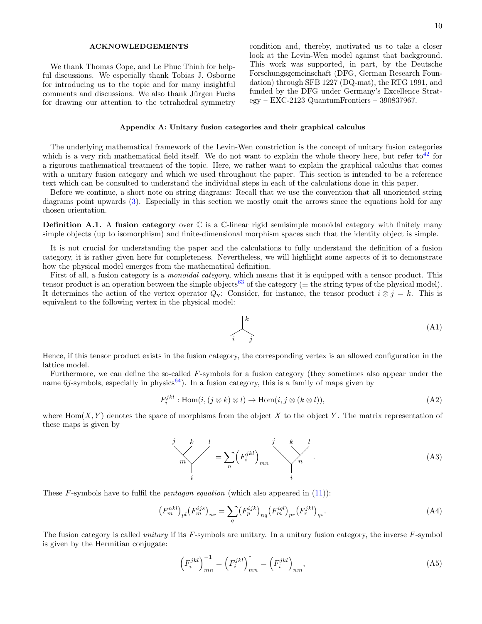### ACKNOWLEDGEMENTS

We thank Thomas Cope, and Le Phuc Thinh for helpful discussions. We especially thank Tobias J. Osborne for introducing us to the topic and for many insightful comments and discussions. We also thank Jürgen Fuchs for drawing our attention to the tetrahedral symmetry condition and, thereby, motivated us to take a closer look at the Levin-Wen model against that background. This work was supported, in part, by the Deutsche Forschungsgemeinschaft (DFG, German Research Foundation) through SFB 1227 (DQ-mat), the RTG 1991, and funded by the DFG under Germany's Excellence Strategy – EXC-2123 QuantumFrontiers – 390837967.

### <span id="page-9-0"></span>Appendix A: Unitary fusion categories and their graphical calculus

The underlying mathematical framework of the Levin-Wen constriction is the concept of unitary fusion categories which is a very rich mathematical field itself. We do not want to explain the whole theory here, but refer to<sup>[42](#page-22-12)</sup> for a rigorous mathematical treatment of the topic. Here, we rather want to explain the graphical calculus that comes with a unitary fusion category and which we used throughout the paper. This section is intended to be a reference text which can be consulted to understand the individual steps in each of the calculations done in this paper.

Before we continue, a short note on string diagrams: Recall that we use the convention that all unoriented string diagrams point upwards [\(3\)](#page-1-2). Especially in this section we mostly omit the arrows since the equations hold for any chosen orientation.

**Definition A.1.** A fusion category over  $\mathbb{C}$  is a  $\mathbb{C}$ -linear rigid semisimple monoidal category with finitely many simple objects (up to isomorphism) and finite-dimensional morphism spaces such that the identity object is simple.

It is not crucial for understanding the paper and the calculations to fully understand the definition of a fusion category, it is rather given here for completeness. Nevertheless, we will highlight some aspects of it to demonstrate how the physical model emerges from the mathematical definition.

First of all, a fusion category is a *monoidal category*, which means that it is equipped with a tensor product. This tensor product is an operation between the simple objects<sup>[63](#page-22-28)</sup> of the category ( $\equiv$  the string types of the physical model). It determines the action of the vertex operator  $Q_v$ : Consider, for instance, the tensor product  $i \otimes j = k$ . This is equivalent to the following vertex in the physical model:

k



Hence, if this tensor product exists in the fusion category, the corresponding vertex is an allowed configuration in the lattice model.

Furthermore, we can define the so-called F-symbols for a fusion category (they sometimes also appear under the name  $6j$ -symbols, especially in physics<sup>[64](#page-23-0)</sup>). In a fusion category, this is a family of maps given by

$$
F_i^{jkl}: \text{Hom}(i, (j \otimes k) \otimes l) \to \text{Hom}(i, j \otimes (k \otimes l)), \tag{A2}
$$

where  $\text{Hom}(X, Y)$  denotes the space of morphisms from the object X to the object Y. The matrix representation of these maps is given by

<span id="page-9-1"></span>
$$
\sum_{i}^{j} \sum_{k}^{k} l = \sum_{n} \left( F_i^{jkl} \right)_{mn} \qquad \qquad \sum_{i}^{k} l
$$
\n(A3)

These F-symbols have to fulfil the *pentagon equation* (which also appeared in  $(11)$ ):

$$
(F_m^{nkl})_{pl} (F_m^{ijs})_{nr} = \sum_q (F_p^{ijk})_{nq} (F_m^{iql})_{pr} (F_r^{jkl})_{qs}.
$$
 (A4)

The fusion category is called *unitary* if its  $F$ -symbols are unitary. In a unitary fusion category, the inverse  $F$ -symbol is given by the Hermitian conjugate:

$$
\left(F_i^{jkl}\right)_{mn}^{-1} = \left(F_i^{jkl}\right)_{mn}^{\dagger} = \overline{\left(F_i^{jkl}\right)_{nm}},\tag{A5}
$$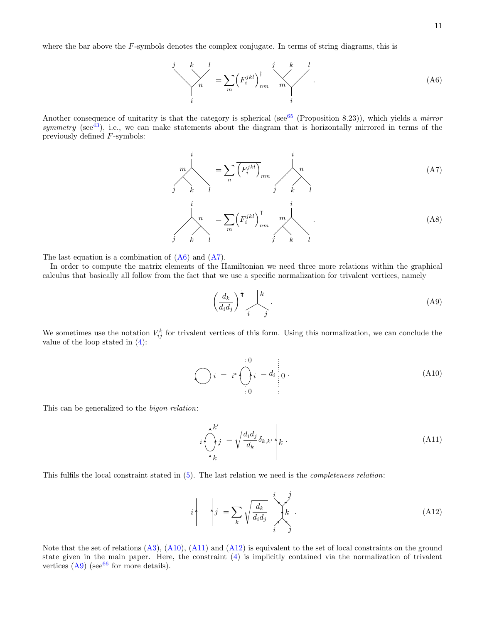where the bar above the F-symbols denotes the complex conjugate. In terms of string diagrams, this is

<span id="page-10-4"></span>
$$
\begin{array}{c}\nj & k & l \\
\searrow & n & \n\end{array} = \sum_{m} \left( F_i^{jkl} \right)_{nm}^{\dagger} \begin{array}{c}\nj & k & l \\
\searrow & \searrow & \searrow \\
i & i & \n\end{array} \tag{A6}
$$

Another consequence of unitarity is that the category is spherical (see<sup>[65](#page-23-1)</sup> (Proposition 8.23)), which yields a *mirror* symmetry (see<sup>[43](#page-22-13)</sup>), i.e., we can make statements about the diagram that is horizontally mirrored in terms of the previously defined F-symbols:

$$
\sum_{j}^{i} m \left( \sum_{k}^{i} \overline{F_{i}^{jkl}} \right)_{mn} \qquad \sum_{j}^{i} n \left( A7 \right)
$$
\n
$$
\sum_{j}^{i} m \left( \sum_{k}^{jkl} \right)_{nm}^{T} \qquad \sum_{j}^{i} m \left( A8 \right)
$$
\n
$$
\sum_{j}^{i} k \left( \sum_{l}^{jkl} \right)_{nm}^{T} \qquad \sum_{j}^{i} k \left( \sum_{l}^{jkl} \right)
$$
\n(A8)

The last equation is a combination of  $(A6)$  and  $(A7)$ .

In order to compute the matrix elements of the Hamiltonian we need three more relations within the graphical calculus that basically all follow from the fact that we use a specific normalization for trivalent vertices, namely

<span id="page-10-6"></span><span id="page-10-2"></span><span id="page-10-1"></span>
$$
\left(\frac{d_k}{d_i d_j}\right)^{\frac{1}{4}} \sum_{i}^{k}.
$$
\n(A9)

We sometimes use the notation  $V_{ij}^k$  for trivalent vertices of this form. Using this normalization, we can conclude the value of the loop stated in [\(4\)](#page-1-1):

<span id="page-10-5"></span>
$$
\bigodot_{i} i = i^* \bigodot_{i=0}^{i=0} i = d_i \Bigg|_{0}.
$$
\n(A10)

This can be generalized to the bigon relation:

<span id="page-10-3"></span>
$$
i \left( \int_{k}^{k'} j = \sqrt{\frac{d_i d_j}{d_k}} \delta_{k,k'} \right) k . \tag{A11}
$$

This fulfils the local constraint stated in [\(5\)](#page-1-3). The last relation we need is the completeness relation:

<span id="page-10-0"></span>
$$
i \qquad \qquad i \qquad j = \sum_{k} \sqrt{\frac{d_k}{d_i d_j}} \sum_{i}^{i} k . \tag{A12}
$$

Note that the set of relations  $(A3)$ ,  $(A10)$ ,  $(A11)$  and  $(A12)$  is equivalent to the set of local constraints on the ground state given in the main paper. Here, the constraint [\(4\)](#page-1-1) is implicitly contained via the normalization of trivalent vertices  $(A9)$  (see<sup>[66](#page-23-2)</sup> for more details).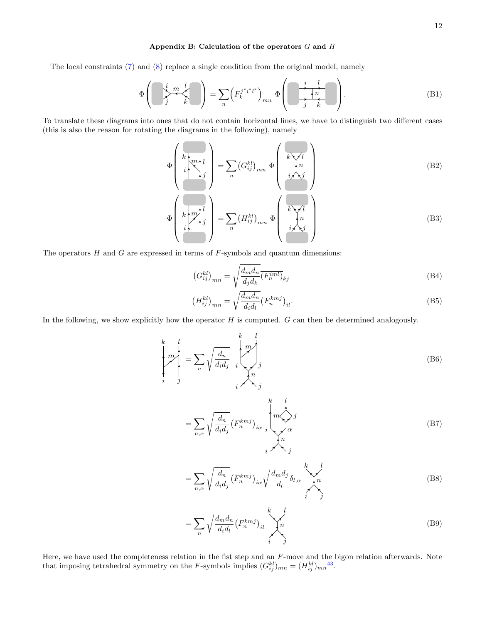## <span id="page-11-0"></span>Appendix B: Calculation of the operators  $G$  and  $H$

The local constraints [\(7\)](#page-2-3) and [\(8\)](#page-2-0) replace a single condition from the original model, namely

$$
\Phi\left(\sum_{j}^{i} \frac{m}{k} \sum_{k}^{l}\right) = \sum_{n} \left(F_k^{j^*i^*l^*}\right)_{mn} \Phi\left(\sum_{j}^{i} \frac{l}{k} \right). \tag{B1}
$$

To translate these diagrams into ones that do not contain horizontal lines, we have to distinguish two different cases (this is also the reason for rotating the diagrams in the following), namely

$$
\Phi\left(\begin{array}{c}\n\overrightarrow{k}\left(\overrightarrow{m}\right) \\
\overrightarrow{i}\right) \\
\overrightarrow{j}\n\end{array}\right) = \sum_{n} \left(G_{ij}^{kl}\right)_{mn} \Phi\left(\begin{array}{c}\n\overrightarrow{k}\left\vee\overrightarrow{i}\right) \\
\overrightarrow{i}\left\vee\overrightarrow{j}\right) \\
\overrightarrow{i}\left\vee\overrightarrow{j}\right)\n\end{array}\right)
$$
\n(B2)\n
$$
\Phi\left(\begin{array}{c}\n\overrightarrow{k}\left(\overrightarrow{m}\right) \\
\overrightarrow{i}\right) \\
\overrightarrow{i}\n\end{array}\right) = \sum_{n} \left(H_{ij}^{kl}\right)_{mn} \Phi\left(\begin{array}{c}\n\overrightarrow{k}\left\vee\overrightarrow{i}\right) \\
\overrightarrow{i}\left\vee\overrightarrow{j}\right) \\
\overrightarrow{i}\n\end{array}\right)
$$
\n(B3)

The operators  $H$  and  $G$  are expressed in terms of  $F$ -symbols and quantum dimensions:

$$
\left(G_{ij}^{kl}\right)_{mn} = \sqrt{\frac{d_m d_n}{d_j d_k}} \overline{\left(F_n^{iml}\right)}_{kj}
$$
\n(B4)

$$
\left(H_{ij}^{kl}\right)_{mn} = \sqrt{\frac{d_m d_n}{d_i d_l}} \left(F_n^{kmj}\right)_{il}.\tag{B5}
$$

In the following, we show explicitly how the operator  $H$  is computed.  $G$  can then be determined analogously.

$$
\begin{aligned}\n\begin{pmatrix}\n k & l \\
 m \\
 i & j\n\end{pmatrix} &= \sum_{n} \sqrt{\frac{d_n}{d_i d_j}} \begin{pmatrix}\n m \\
 m \\
 j\n\end{pmatrix}, \\
&= \sum_{n, \alpha} \sqrt{\frac{d_n}{d_i d_j}} (F_n^{kmj})_{i\alpha} \begin{pmatrix}\n k & l \\
 m & j\n\end{pmatrix} \alpha\n\end{aligned}
$$
\n(B7)

n  $i \wedge \neg j$ 

$$
=\sum_{n,\alpha}\sqrt{\frac{d_n}{d_id_j}}\left(F_n^{kmj}\right)_{i\alpha}\sqrt{\frac{d_md_j}{d_l}}\delta_{l,\alpha}\sqrt{\frac{k}{n}}\sqrt{\frac{l}{n}}\tag{B8}
$$

$$
=\sum_{n}\sqrt{\frac{d_{m}d_{n}}{d_{i}d_{l}}}\left(F_{n}^{kmj}\right)_{il}\sqrt{\binom{n}{n}}\tag{B9}
$$

Here, we have used the completeness relation in the fist step and an F-move and the bigon relation afterwards. Note that imposing tetrahedral symmetry on the F-symbols implies  $(G_{ij}^{kl})_{mn} = (H_{ij}^{kl})_{mn}^{43}$  $(G_{ij}^{kl})_{mn} = (H_{ij}^{kl})_{mn}^{43}$  $(G_{ij}^{kl})_{mn} = (H_{ij}^{kl})_{mn}^{43}$ .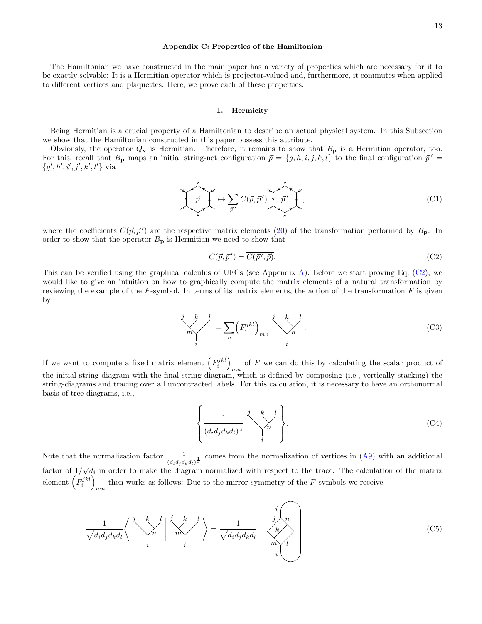#### <span id="page-12-0"></span>Appendix C: Properties of the Hamiltonian

The Hamiltonian we have constructed in the main paper has a variety of properties which are necessary for it to be exactly solvable: It is a Hermitian operator which is projector-valued and, furthermore, it commutes when applied to different vertices and plaquettes. Here, we prove each of these properties.

#### <span id="page-12-1"></span>1. Hermicity

Being Hermitian is a crucial property of a Hamiltonian to describe an actual physical system. In this Subsection we show that the Hamiltonian constructed in this paper possess this attribute.

Obviously, the operator  $Q_v$  is Hermitian. Therefore, it remains to show that  $B_p$  is a Hermitian operator, too. For this, recall that  $B_p$  maps an initial string-net configuration  $\vec{p} = \{g, h, i, j, k, l\}$  to the final configuration  $\vec{p}' =$  ${g', h', i', j', k', l'}$  via

$$
\overrightarrow{p} \mapsto \sum_{\overrightarrow{p'}} C(\overrightarrow{p}, \overrightarrow{p'}) \underbrace{\overrightarrow{p'}}_{\overrightarrow{p'}},
$$
\n(C1)

where the coefficients  $C(\vec{p}, \vec{p}')$  are the respective matrix elements [\(20\)](#page-6-0) of the transformation performed by  $B_p$ . In order to show that the operator  $B_{\mathbf{p}}$  is Hermitian we need to show that

<span id="page-12-2"></span>
$$
C(\vec{p}, \vec{p}') = \overline{C(\vec{p}', \vec{p})}.
$$
 (C2)

This can be verified using the graphical calculus of UFCs (see Appendix [A\)](#page-9-0). Before we start proving Eq. [\(C2\)](#page-12-2), we would like to give an intuition on how to graphically compute the matrix elements of a natural transformation by reviewing the example of the  $F$ -symbol. In terms of its matrix elements, the action of the transformation  $F$  is given by

$$
\sum_{i=1}^{j} \binom{k}{i} = \sum_{n} \left( F_i^{jkl} \right)_{mn} \sum_{i=1}^{j} \binom{k}{n} . \tag{C3}
$$

If we want to compute a fixed matrix element  $(F_i^{jkl})$ of  $F$  we can do this by calculating the scalar product of the initial string diagram with the final string diagram, which is defined by composing (i.e., vertically stacking) the string-diagrams and tracing over all uncontracted labels. For this calculation, it is necessary to have an orthonormal basis of tree diagrams, i.e.,

$$
\left\{\frac{1}{(d_i d_j d_k d_l)^{\frac{1}{4}}}\right\}.
$$
\n(C4)

Note that the normalization factor  $\frac{1}{(d_i d_j d_k d_l)^{\frac{1}{4}}}$  comes from the normalization of vertices in [\(A9\)](#page-10-6) with an additional factor of  $1/\sqrt{d_i}$  in order to make the diagram normalized with respect to the trace. The calculation of the matrix √ element  $(F_i^{jkl})$ then works as follows: Due to the mirror symmetry of the  $F$ -symbols we receive

$$
\frac{1}{\sqrt{d_i d_j d_k d_l}} \left\langle \begin{array}{c} j & k & l \\ & \searrow n & l \end{array} \right| \xrightarrow{p} \frac{k}{m} \left\langle \begin{array}{c} j & i \\ & \searrow n \\ i & i \end{array} \right\rangle = \frac{1}{\sqrt{d_i d_j d_k d_l}} \xrightarrow{j} \frac{n}{m} \left\langle \begin{array}{c} i \\ k \\ k \end{array} \right\rangle
$$
\n(C5)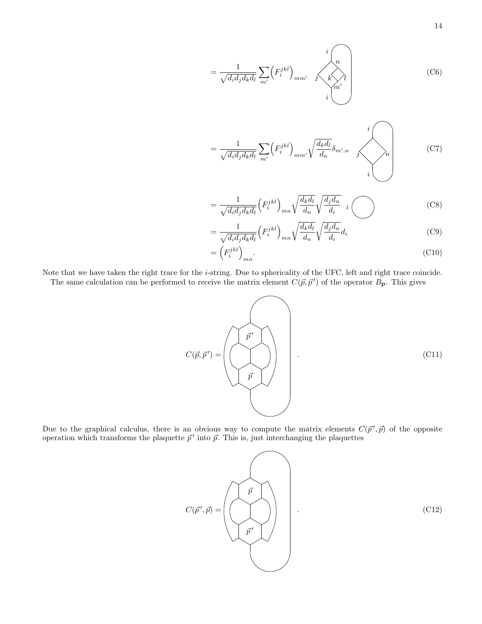$$
=\frac{1}{\sqrt{d_i d_j d_k d_l}} \sum_{m'} \left(F_i^{jkl}\right)_{mm'} \quad \text{if } \quad n' \quad \text{(C6)}
$$

$$
=\frac{1}{\sqrt{d_i d_j d_k d_l}} \sum_{m'} \left(F_i^{jkl}\right)_{mm'} \sqrt{\frac{d_k d_l}{d_n}} \delta_{m',n} \qquad \qquad i
$$
\n(C7)

$$
=\frac{1}{\sqrt{d_i d_j d_k d_l}} \left(F_i^{jkl}\right)_{mn} \sqrt{\frac{d_k d_l}{d_n}} \sqrt{\frac{d_j d_n}{d_i}} \quad i \tag{C8}
$$

$$
=\frac{1}{\sqrt{d_i d_j d_k d_l}} \left(F_i^{jkl}\right)_{mn} \sqrt{\frac{d_k d_l}{d_n}} \sqrt{\frac{d_j d_n}{d_i}} d_i
$$
\n(C9)

$$
=\left(F_i^{jkl}\right)_{mn}.\tag{C10}
$$

Note that we have taken the right trace for the i-string. Due to sphericality of the UFC, left and right trace coincide. The same calculation can be performed to receive the matrix element  $C(\vec{p}, \vec{p}')$  of the operator  $B_{\mathbf{p}}$ . This gives

<span id="page-13-0"></span>
$$
C(\vec{p}, \vec{p}') = \left(\begin{matrix} \vec{p}' \\ \vec{p} \\ \vec{p} \end{matrix}\right) \tag{C11}
$$

Due to the graphical calculus, there is an obvious way to compute the matrix elements  $C(\vec{p}', \vec{p})$  of the opposite operation which transforms the plaquette  $\vec{p}'$  into  $\vec{p}$ . This is, just interchanging the plaquettes

$$
C(\vec{p}', \vec{p}) = \left(\begin{matrix} \vec{p} \\ \vec{p}' \\ \vec{p}' \end{matrix} \right) \qquad (C12)
$$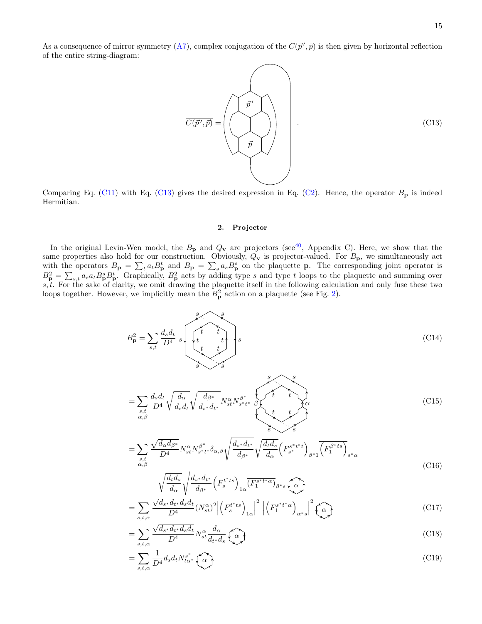As a consequence of mirror symmetry [\(A7\)](#page-10-2), complex conjugation of the  $C(\vec{p}', \vec{p})$  is then given by horizontal reflection of the entire string-diagram:

<span id="page-14-1"></span>
$$
\overrightarrow{C(\vec{p}',\vec{p})} = \left(\begin{matrix} \overrightarrow{p}' \\ \overrightarrow{p} \\ \overrightarrow{p} \\ \overrightarrow{p} \end{matrix}\right).
$$
\n(C13)

Comparing Eq. [\(C11\)](#page-13-0) with Eq. [\(C13\)](#page-14-1) gives the desired expression in Eq. [\(C2\)](#page-12-2). Hence, the operator  $B_p$  is indeed Hermitian.

## <span id="page-14-2"></span><span id="page-14-0"></span>2. Projector

In the original Levin-Wen model, the  $B_p$  and  $Q_v$  are projectors (see<sup>[40](#page-22-10)</sup>, Appendix C). Here, we show that the same properties also hold for our construction. Obviously,  $Q_v$  is projector-valued. For  $B_p$ , we simultaneously act with the operators  $B_p = \sum_t a_t B_p^t$  and  $B_p = \sum_s a_s B_p^s$  on the plaquette p. The corresponding joint operator is  $B_{\mathbf{p}}^2 = \sum_{s,t} a_s a_t B_{\mathbf{p}}^s B_{\mathbf{p}}^t$ . Graphically,  $B_{\mathbf{p}}^2$  acts by adding type s and type t loops to the plaquette and summing over  $s, t$ . For the sake of clarity, we omit drawing the plaquette itself in the following calculation and only fuse these two loops together. However, we implicitly mean the  $B_p^2$  action on a plaquette (see Fig. [2\)](#page-6-1).

B 2 <sup>p</sup> = X s,t dsd<sup>t</sup> D<sup>4</sup> s s s s s s t t t t t t (C14) = X s,t α,β dsd<sup>t</sup> D<sup>4</sup> r dα dsd<sup>t</sup> r dβ<sup>∗</sup> ds <sup>∗</sup> d<sup>t</sup> ∗ N α stN β ∗ s ∗t ∗ s s s s t t t t β α (C15)

$$
=\sum_{\substack{s,t\\ \alpha,\beta}}\frac{\sqrt{d_{\alpha}d_{\beta^*}}}{D^4}N_{st}^{\alpha}N_{s^*t^*}^{\beta^*}\delta_{\alpha,\beta}\sqrt{\frac{d_{s^*}d_{t^*}}{d_{\beta^*}}}\sqrt{\frac{d_td_s}{d_{\alpha}}}\left(F_{s^*}^{s^*t^*}t\right)_{\beta^*1}\overline{\left(F_1^{\beta^*ts}\right)_{s^*\alpha}}\tag{C16}
$$

<span id="page-14-6"></span><span id="page-14-5"></span><span id="page-14-4"></span><span id="page-14-3"></span>
$$
\sqrt{\frac{d_t d_s}{d_\alpha}} \sqrt{\frac{d_{s^*} d_{t^*}}{d_{\beta^*}}} \left( F_s^{t^* t s} \right)_{1\alpha} \overline{\left( F_1^{s^* t^* \alpha} \right)}_{\beta^* s} \left( \alpha \right)
$$
\n
$$
\sqrt{d_{s^*} d_{t^*} d_s d_{t^{'}} \sqrt{\frac{d_{s^*} d_{t^*}}{d_{s^{'}} d_{t^{'}}}} \left( F_t^{t^* t s} \right)^{-\frac{2}{2}} \left| \left( F_s^{s^* t^* \alpha} \right)^{-\frac{2}{2}} \right| \left( \gamma^* \right)^{-\frac{2}{2}} \left( \gamma^* \right)^{-\frac{2}{2}} \left( \gamma^* \right)^{-\frac{2}{2}}
$$
\n
$$
\tag{C17}
$$

$$
=\sum_{s,t,\alpha} \frac{\sqrt{d_s \cdot d_{t} \cdot d_s d_t}}{D^4} (N_{st}^{\alpha})^2 \left| \left(F_s^{t^*ts}\right)_{1\alpha} \right|^2 \left| \left(F_1^{s^*t^*\alpha}\right)_{\alpha^*s} \right|^2 \left(\widehat{\alpha}\right)
$$
\n(C17)

$$
=\sum_{s,t,\alpha}\frac{\sqrt{d_{s^*}d_{t^*}d_{s}d_t}}{D^4}N_{st}^{\alpha}\frac{d_{\alpha}}{d_{t^*}d_s}\left(\widehat{\alpha}\right)
$$
\n(C18)

$$
=\sum_{s,t,\alpha}\frac{1}{D^4}d_s d_t N_{t\alpha^*}^{s^*} \left(\widehat{\alpha}\right)
$$
\n(C19)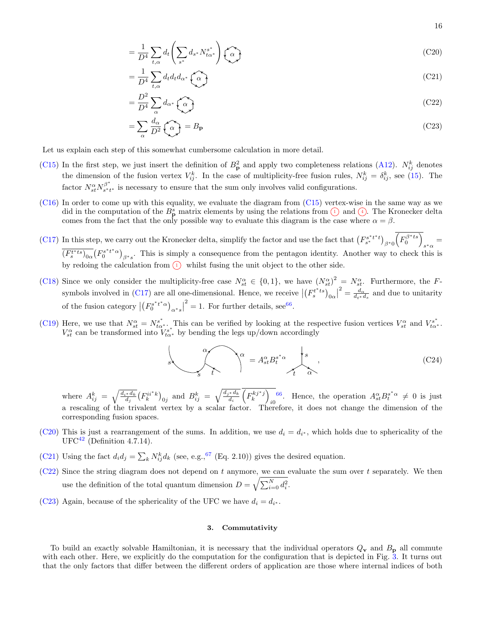<span id="page-15-1"></span>
$$
=\frac{1}{D^4}\sum_{t,\alpha}d_t\left(\sum_{s^*}d_{s^*}N_{t\alpha^*}^{s^*}\right)\left(\widehat{\alpha}\right)
$$
(C20)

<span id="page-15-2"></span>
$$
=\frac{1}{D^4}\sum_{t,\alpha}d_t d_t d_{\alpha^*}\left(\widehat{\alpha}\right)
$$
\n(C21)

<span id="page-15-3"></span>
$$
=\frac{D^2}{D^4}\sum_{\alpha}d_{\alpha^*}\left(\widehat{\alpha}\right)
$$
\n(C22)

<span id="page-15-4"></span>
$$
=\sum_{\alpha}\frac{d_{\alpha}}{D^{2}}\left(\widehat{\alpha}\right)=B_{\mathbf{p}}\tag{C23}
$$

Let us explain each step of this somewhat cumbersome calculation in more detail.

- [\(C15\)](#page-14-2) In the first step, we just insert the definition of  $B_p^2$  and apply two completeness relations [\(A12\)](#page-10-0).  $N_{ij}^k$  denotes the dimension of the fusion vertex  $V_{ij}^k$ . In the case of multiplicity-free fusion rules,  $N_{ij}^k = \delta_{ij}^k$ , see [\(15\)](#page-2-4). The factor  $N_{st}^{\alpha} N_{s*t}^{\beta^*}$  $s_{t}^{p}$  is necessary to ensure that the sum only involves valid configurations.
- [\(C16\)](#page-14-3) In order to come up with this equality, we evaluate the diagram from [\(C15\)](#page-14-2) vertex-wise in the same way as we did in the computation of the  $B_p^s$  matrix elements by using the relations from  $\overline{1}$  and  $\overline{4}$ . The Kronecker delta comes from the fact that the only possible way to evaluate this diagram is the case where  $\alpha = \beta$ .
- [\(C17\)](#page-14-4) In this step, we carry out the Kronecker delta, simplify the factor and use the fact that  $(F_{s^*}^{s^*t^*t})_{\beta^*0}(F_0^{\beta^*ts})$  $s^*\alpha =$  $\overline{(F_s^{t * ts})_{0\alpha}}(F_0^{s * t * \alpha})_{\beta * s}$ . This is simply a consequence from the pentagon identity. Another way to check this is ∗ by redoing the calculation from  $\overline{1}$  whilst fusing the unit object to the other side.
- [\(C18\)](#page-14-5) Since we only consider the multiplicity-free case  $N_{st}^{\alpha} \in \{0,1\}$ , we have  $(N_{st}^{\alpha})^2 = N_{st}^{\alpha}$ . Furthermore, the F-symbols involved in [\(C17\)](#page-14-4) are all one-dimensional. Hence, we receive  $\left|\left(F_s^{t^*ts}\right)_{0\alpha}\right|$  $\sigma^2 = \frac{d_{\alpha}}{d_{t}*d_s}$  and due to unitarity of the fusion category  $\left|\left(F_0^{s^*t^*\alpha}\right)_{\alpha^*s}\right|$  $2^2 = 1$ . For further details, see<sup>[66](#page-23-2)</sup>.
- [\(C19\)](#page-14-6) Here, we use that  $N_{st}^{\alpha} = N_{t\alpha^*}^{s^*}$ . This can be verified by looking at the respective fusion vertices  $V_{st}^{\alpha}$  and  $V_{t\alpha^*}^{s^*}$ .  $V_{st}^{\alpha}$  can be transformed into  $V_{t\alpha^*}^{s^*}$  by bending the legs up/down accordingly

$$
s \qquad \qquad \alpha \qquad \qquad \alpha = A_{st}^{\alpha} B_{t}^{s^* \alpha} \qquad \qquad \beta \qquad \qquad (C24)
$$

where  $A_{ij}^k = \sqrt{\frac{d_{i^*}d_k}{d_j}} (F_k^{ii^*k})_{0j}$  and  $B_{ij}^k = \sqrt{\frac{d_{j^*}d_k}{d_i}}$  $\overline{\frac{d}{d_i}}^*\left(F_k^{kj * j}\right)$ <sup>[66](#page-23-2)</sup>. Hence, the operation  $A_{st}^{\alpha} B_{t}^{s^*\alpha} \neq 0$  is just a rescaling of the trivalent vertex by a scalar factor. Therefore, it does not change the dimension of the corresponding fusion spaces.

- [\(C20\)](#page-15-1) This is just a rearrangement of the sums. In addition, we use  $d_i = d_{i^*}$ , which holds due to sphericality of the  $UFC^{42}$  $UFC^{42}$  $UFC^{42}$  (Definition 4.7.14).
- [\(C21\)](#page-15-2) Using the fact  $d_i d_j = \sum_k N_{ij}^k d_k$  (see, e.g.,<sup>[67](#page-23-3)</sup> (Eq. 2.10)) gives the desired equation.
- $(C22)$  Since the string diagram does not depend on t anymore, we can evaluate the sum over t separately. We then use the definition of the total quantum dimension  $D = \sqrt{\sum_{i=0}^{N} d_i^2}$ .
- [\(C23\)](#page-15-4) Again, because of the sphericality of the UFC we have  $d_i = d_{i^*}$ .

### <span id="page-15-0"></span>3. Commutativity

To build an exactly solvable Hamiltonian, it is necessary that the individual operators  $Q_v$  and  $B_p$  all commute with each other. Here, we explicitly do the computation for the configuration that is depicted in Fig. [3.](#page-7-1) It turns out that the only factors that differ between the different orders of application are those where internal indices of both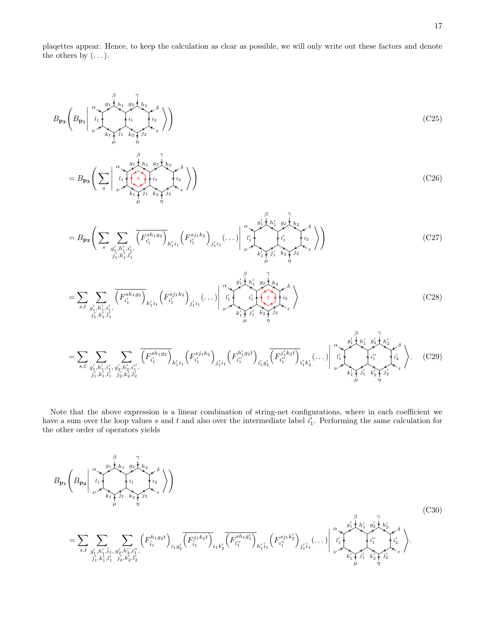plaqettes appear. Hence, to keep the calculation as clear as possible, we will only write out these factors and denote the others by  $(\dots)$ .

$$
B_{\mathbf{p}_2}\left(B_{\mathbf{p}_1}\Big|_{\begin{subarray}{c}\alpha\\\nu\\\nu\end{subarray}}\begin{subarray}{c}\beta\\\lambda_1\\\lambda_1\\\mu\end{subarray}}\begin{subarray}{c}\gamma\\\lambda_1\\\lambda_2\\\mu\end{subarray}\begin{subarray}{c}\gamma\\\lambda_2\\\lambda_2\\\mu\end{subarray}}\begin{subarray}{c}\gamma\\\lambda_1\\\lambda_2\\\mu\end{subarray}}\begin{subarray}{c}\gamma\\\lambda_2\\\lambda_1\\\mu\end{subarray}}\right)
$$
(C25)

$$
=B_{\mathbf{p}_2}\left(\sum_{s}\begin{pmatrix}a_1\\l_1\\l_2\end{pmatrix}\begin{pmatrix}g_1\\h_1&g_2\\i_1\\h_1\end{pmatrix}\begin{pmatrix}h_1&g_2\\i_1\\i_2\\h_1\end{pmatrix}\begin{pmatrix}b_1\\i_2\\i_2\\i_1\end{pmatrix}\right)
$$
(C26)

$$
=B_{\mathbf{p}_{2}}\Bigg(\sum_{s}\sum_{\substack{g'_{1},h'_{1},i'_{1},\\j'_{1},k'_{1},l'_{1}}}\overline{\left(F_{i'_{1}}^{sh_{1}g_{2}}\right)_{h'_{1}i_{1}}}\left(F_{i'_{1}}^{sj_{1}k_{2}}\right)_{j'_{1}i_{1}}\left(\dots\right)\Bigg|_{\substack{l'_{1}\\l'_{1}\\l'_{1}}}^{\alpha}\left(\sum_{i'_{1},\dots,i'_{l'_{l}}\\l'_{1},l'_{2},l'_{3}}\right)_{j'_{2}}\Bigg\rangle\Bigg) \tag{C27}
$$

$$
= \sum_{s,t} \sum_{\substack{g'_1, h'_1, i'_1, \\ j'_1, k'_1, l'_1}} \overline{\left(F_{i'_1}^{sh_1 g_2}\right)_{h'_1 i_1}} \left(F_{i'_1}^{sj_1 k_2}\right)_{j'_1 i_1} \dots \Big| \bigg|_{\substack{l'_1 \\ \nu \to \nu' \\ k'_1 \uparrow \overline{\frac{j'_1}{\mu}}} \overline{\left(F_{i'_1}^{*j_1} \right)_{i_2} \cdots \left(F_{i'_n}^{*j_n} \right)_{i'_n}} \overline{\left(F_{i'_1}^{*j_1} \right)_{j'_1 i_1}} \cdot \overline{\left(F_{i'_1}^{*j_1} \right)_{j'_1 i_1}} \cdot \overline{\left(F_{i'_1}^{*j_1} \right)_{j'_1 i_1}} \cdot \overline{\left(F_{i'_1}^{*j_1} \right)_{j'_1 i_1}} \cdot \overline{\left(F_{i'_1}^{*j_1} \right)_{j'_1 i_1}} \cdot \overline{\left(F_{i'_1}^{*j_1} \right)_{j'_1 i_1}} \cdot \overline{\left(F_{i'_1}^{*j_1} \right)_{j'_1 i_1}} \cdot \overline{\left(F_{i'_1}^{*j_1} \right)_{j'_1 i_1}} \cdot \overline{\left(F_{i'_1}^{*j_1} \right)_{j'_1 i_1}} \cdot \overline{\left(F_{i'_1}^{*j_1} \right)_{j'_1 i_1}} \cdot \overline{\left(F_{i'_1}^{*j_1} \right)_{j'_1 i_1}} \cdot \overline{\left(F_{i'_1}^{*j_1} \right)_{j'_1 i_1}} \cdot \overline{\left(F_{i'_1}^{*j_1} \right)_{j'_1 i_1}} \cdot \overline{\left(F_{i'_1}^{*j_1} \right)_{j'_1 i_1}} \cdot \overline{\left(F_{i'_1}^{*j_1} \right)_{j'_1 i_1}} \cdot \overline{\left(F_{i'_1}^{*j_1} \right)_{j'_1 i_1}} \cdot \overline{\left(F_{i'_1}^{*j_1} \right)_{j'_1 i_1}} \cdot \overline{\left(F_{i'_1}^{*j_1} \right)_{j'_1 i_1}} \cdot \overline{\left(F_{i'_1}^{*j_1} \right)_{j'_1 i_1}} \cdot \overline
$$

= X s,t X g 0 1 ,h<sup>0</sup> 1 ,i0 1 , j 0 1 ,k<sup>0</sup> 1 ,l0 1 X g 0 2 ,h<sup>0</sup> 2 ,i<sup>00</sup> 1 , j 0 2 ,k<sup>0</sup> 2 ,l0 2 F sh1g<sup>2</sup> i 0 1 h 0 1 i1 F sj1k<sup>2</sup> i 0 1 j 0 1 i1 F h 0 1 g2t i 00 1 i 0 1 g 0 2 F j 0 1 k2t i 00 1 i 0 1 k 0 2 (. . .) g 0 1 l 0 1 k 0 1 j 0 1 i 00 1 h 0 1 β α ν µ k 0 2 j 0 2 i 0 2 h 0 2 g 0 2 γ δ η + . (C29)

Note that the above expression is a linear combination of string-net configurations, where in each coefficient we have a sum over the loop values s and t and also over the intermediate label  $i'_1$ . Performing the same calculation for the other order of operators yields

<span id="page-16-0"></span>
$$
B_{\mathbf{p}_{1}}\left(B_{\mathbf{p}_{2}}\Big|_{\begin{subarray}{l}l\\l\\l\end{subarray}}^{\alpha}\left(\frac{g_{1}\Big|_{h_{1}}^{h_{1}}g_{2}\Big|_{h_{2}}^{h_{2}}}{\mu^{i_{1}}}\right)_{\begin{subarray}{l}l\\l\\l\end{subarray}}\left(\frac{g_{1}\Big|_{h_{1}}^{h_{1}}g_{2}\Big|_{h_{2}}^{h_{2}}}{\mu^{i_{2}}}\right)\right) \tag{C30}
$$
\n
$$
=\sum_{s,t}\sum_{\begin{subarray}{l}g_{1}',h_{1}',\bar{i}_{1},g_{2}',h_{2}',i'\\j'_{1},k'_{1},\bar{i}_{1},g_{2}',h_{2}',i''_{1},\end{subarray}}\left(F_{\bar{i}_{1}}^{h_{1}g_{2}t}\right)_{i_{1}g_{2}'}\left(F_{\bar{i}_{1}}^{j_{1}k_{2}t}\right)_{i_{1}k'_{2}}\left(F_{i''_{1}}^{sh_{1}g_{2}'}\right)_{j'_{1}\bar{i}_{1}}\left(\frac{g_{1}'h_{1}'}{h_{1}'}g_{2}'\Big|_{h_{2}'}^{h_{2}'}\right)_{\begin{subarray}{l}l\\l\\l\end{subarray}}\left(\frac{g_{1}'h_{1}'}{h_{1}'}g_{2}'\Big|_{h_{2}'}^{h_{2}'}\right)_{\begin{subarray}{l}l\\l\\l\end{subarray}}\left(\frac{g_{2}'h_{1}'}{h_{1}'}g_{2}'\Big|_{h_{2}'}^{h_{2}'}\right)_{\begin{subarray}{l}l\\l\\l\end{subarray}}\left(\frac{g_{2}'h_{1}'}{h_{1}'}g_{2}'\Big|_{h_{2}'}^{h_{2}'}\right)_{\begin{subarray}{l}l\\l\\l\end{subarray}}\left(\frac{g_{2}'h_{1}'}{h_{1}'}g_{2}'\Big|_{h_{2}'}^{h_{2}'}\right)_{\begin{subarray}{l}l\\l\\l\end{subarray}}\left(\frac{g_{2}'h_{2}'}{h_{2}'}g_{2}'\Big|_{h_{2}'}^{h_{2}'}\right)_{\begin{subarray}{l}l\\l\\l\end{subarray}}\left(\frac{g_{2}'h_{2}'}(h_{2}'+h_{2}'+h_{2}'+
$$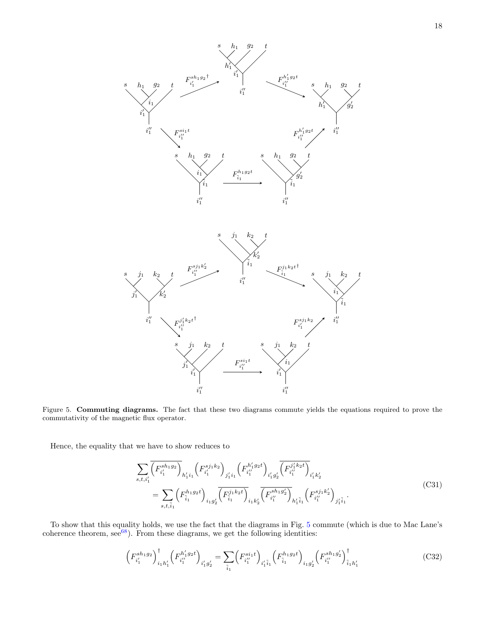

<span id="page-17-0"></span>Figure 5. Commuting diagrams. The fact that these two diagrams commute yields the equations required to prove the commutativity of the magnetic flux operator.

Hence, the equality that we have to show reduces to

$$
\sum_{s,t,i'_1} \overline{\left(F_{i'_1}^{sh_1g_2}\right)}_{h'_1i_1} \left(F_{i'_1}^{sj_1k_2}\right)_{j'_1i_1} \left(F_{i''_1}^{h'_1g_2t}\right)_{i'_1g'_2} \overline{\left(F_{i''_1}^{j'_1k_2t}\right)}_{i'_1k'_2}
$$
\n
$$
= \sum_{s,t,\tilde{i}_1} \left(F_{\tilde{i}_1}^{h_1g_2t}\right)_{i_1g'_2} \overline{\left(F_{\tilde{i}_1}^{j_1k_2t}\right)_{i_1k'_2} \left(F_{i''_1}^{sh_1g'_2}\right)_{h'_1\tilde{i}_1} \left(F_{i''_1}^{sj_1k'_2}\right)_{j'_1\tilde{i}_1}}.
$$
\n(C31)

To show that this equality holds, we use the fact that the diagrams in Fig. [5](#page-17-0) commute (which is due to Mac Lane's coherence theorem,  $\sec^{68}$  $\sec^{68}$  $\sec^{68}$ ). From these diagrams, we get the following identities:

$$
\left(F_{i'_1}^{sh_1g_2}\right)^{\dagger}_{i_1h'_1} \left(F_{i''_1}^{h'_1g_2t}\right)_{i'_1g'_2} = \sum_{\tilde{i}_1} \left(F_{i''_1}^{si_1t}\right)_{i'_1\tilde{i}_1} \left(F_{\tilde{i}_1}^{h_1g_2t}\right)_{i_1g'_2} \left(F_{i''_1}^{sh_1g'_2}\right)^{\dagger}_{\tilde{i}_1h'_1}
$$
\n(C32)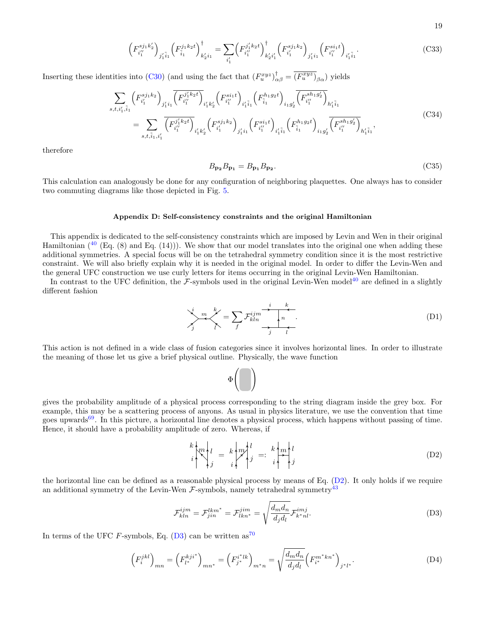$$
\left(F_{i_1''}^{sj_1k_2'}\right)_{j_1'\tilde{i}_1}\left(F_{\tilde{i}_1}^{j_1k_2t}\right)_{k_2'i_1}^{\dagger} = \sum_{i_1'} \left(F_{i_1''}^{j_1'k_2t}\right)_{k_2'i_1'}^{\dagger} \left(F_{i_1'}^{sj_1k_2}\right)_{j_1'i_1}\left(F_{i_1''}^{si_1t}\right)_{i_1'\tilde{i}_1}.\tag{C33}
$$

Inserting these identities into [\(C30\)](#page-16-0) (and using the fact that  $(F_u^{xyz})_{\alpha\beta}^{\dagger} = \overline{(F_u^{xyz})}_{\beta\alpha}^{\dagger}$ ) yields

$$
\sum_{s,t,i'_1,\tilde{i}_1} \left( F_{i'_1}^{sj_1k_2} \right)_{j'_1i_1} \left( F_{i''_1}^{j'_1k_2t} \right)_{i'_1k'_2} \left( F_{i''_1}^{si_1t} \right)_{i'_1\tilde{i}_1} \left( F_{\tilde{i}_1}^{h_1g_2t} \right)_{i_1g'_2} \left( F_{i''_1}^{sh_1g'_2} \right)_{h'_1\tilde{i}_1}
$$
\n
$$
= \sum_{s,t,\tilde{i}_1,i'_1} \overline{\left( F_{i''_1}^{j'_1k_2t} \right)}_{i'_1k'_2} \left( F_{i''_1}^{sj_1k_2} \right)_{j'_1i_1} \left( F_{i''_1}^{si_1t} \right)_{i'_1\tilde{i}_1} \left( F_{\tilde{i}_1}^{h_1g_2t} \right)_{i_1g'_2} \overline{\left( F_{i''_1}^{sh_1g'_2} \right)}_{h'_1\tilde{i}_1}, \tag{C34}
$$

therefore

$$
B_{\mathbf{p_2}}B_{\mathbf{p_1}} = B_{\mathbf{p_1}}B_{\mathbf{p_2}}.\tag{C35}
$$

19

This calculation can analogously be done for any configuration of neighboring plaquettes. One always has to consider two commuting diagrams like those depicted in Fig. [5.](#page-17-0)

## <span id="page-18-0"></span>Appendix D: Self-consistency constraints and the original Hamiltonian

This appendix is dedicated to the self-consistency constraints which are imposed by Levin and Wen in their original Hamiltonian  $(40 \text{ [Eq. (8) and Eq. (14))})$  $(40 \text{ [Eq. (8) and Eq. (14))})$  $(40 \text{ [Eq. (8) and Eq. (14))})$ . We show that our model translates into the original one when adding these additional symmetries. A special focus will be on the tetrahedral symmetry condition since it is the most restrictive constraint. We will also briefly explain why it is needed in the original model. In order to differ the Levin-Wen and the general UFC construction we use curly letters for items occurring in the original Levin-Wen Hamiltonian.

In contrast to the UFC definition, the  $\mathcal{F}$ -symbols used in the original Levin-Wen model<sup>[40](#page-22-10)</sup> are defined in a slightly different fashion

<span id="page-18-3"></span>
$$
\sum_{j}^{i} m \sum_{l}^{k} = \sum_{f} \mathcal{F}_{kln}^{ijm} \xrightarrow{j} \sum_{l}^{k}
$$
 (D1)

This action is not defined in a wide class of fusion categories since it involves horizontal lines. In order to illustrate the meaning of those let us give a brief physical outline. Physically, the wave function

> Φ  $\sqrt{ }$

gives the probability amplitude of a physical process corresponding to the string diagram inside the grey box. For example, this may be a scattering process of anyons. As usual in physics literature, we use the convention that time goes upwards $69$ . In this picture, a horizontal line denotes a physical process, which happens without passing of time. Hence, it should have a probability amplitude of zero. Whereas, if

<span id="page-18-1"></span>
$$
\binom{k}{i} m_j l_j = k \binom{m}{j} l_j =: \binom{k}{i} m_j l_j \qquad (D2)
$$

the horizontal line can be defined as a reasonable physical process by means of Eq. [\(D2\)](#page-18-1). It only holds if we require an additional symmetry of the Levin-Wen  $\mathcal{F}$ -symbols, namely tetrahedral symmetry<sup>[43](#page-22-13)</sup>

<span id="page-18-2"></span>
$$
\mathcal{F}_{kln}^{ijm} = \mathcal{F}_{jin}^{lkm^*} = \mathcal{F}_{lkn^*}^{jim} = \sqrt{\frac{d_m d_n}{d_j d_l}} \mathcal{F}_{k^*nl}^{imj}.
$$
\n(D3)

In terms of the UFC F-symbols, Eq.  $(D3)$  can be written as<sup>[70](#page-23-6)</sup>

$$
\left(F_i^{jkl}\right)_{mn} = \left(F_{l^*}^{kji^*}\right)_{mn^*} = \left(F_{j^*}^{i^*lk}\right)_{m^*n} = \sqrt{\frac{d_m d_n}{d_j d_l}} \left(F_{i^*}^{m^*kn^*}\right)_{j^*l^*}.
$$
\n(D4)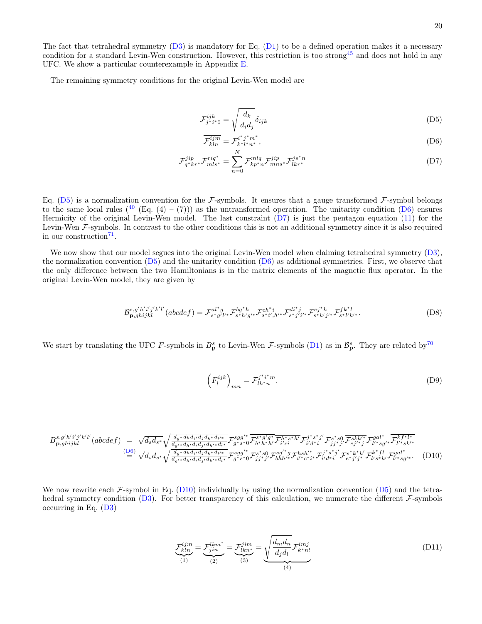The fact that tetrahedral symmetry  $(D3)$  is mandatory for Eq.  $(D1)$  to be a defined operation makes it a necessary condition for a standard Levin-Wen construction. However, this restriction is too strong<sup>[45](#page-22-15)</sup> and does not hold in any UFC. We show a particular counterexample in Appendix [E.](#page-20-0)

The remaining symmetry conditions for the original Levin-Wen model are

<span id="page-19-0"></span>
$$
\mathcal{F}_{j^*i^*0}^{ijk} = \sqrt{\frac{d_k}{d_i d_j}} \delta_{ijk} \tag{D5}
$$

<span id="page-19-2"></span><span id="page-19-1"></span>
$$
\overline{\mathcal{F}_{kln}^{ijm}} = \mathcal{F}_{k^*l^*n^*}^{i^*j^*m^*},\tag{D6}
$$

$$
\mathcal{F}_{q^*kr^*}^{jip} \mathcal{F}_{mls^*}^{riq^*} = \sum_{n=0}^{N} \mathcal{F}_{kp^*n}^{mlq} \mathcal{F}_{mns^*}^{jip} \mathcal{F}_{lkr^*}^{js^*n}
$$
(D7)

Eq. [\(D5\)](#page-19-0) is a normalization convention for the F-symbols. It ensures that a gauge transformed F-symbol belongs to the same local rules  $({}^{40}$  $({}^{40}$  $({}^{40}$  (Eq. (4) – (7))) as the untransformed operation. The unitarity condition [\(D6\)](#page-19-1) ensures Hermicity of the original Levin-Wen model. The last constraint [\(D7\)](#page-19-2) is just the pentagon equation [\(11\)](#page-2-2) for the Levin-Wen  $\mathcal{F}$ -symbols. In contrast to the other conditions this is not an additional symmetry since it is also required in our construction<sup>[71](#page-23-7)</sup>.

We now show that our model segues into the original Levin-Wen model when claiming tetrahedral symmetry [\(D3\)](#page-18-2), the normalization convention  $(D5)$  and the unitarity condition  $(D6)$  as additional symmetries. First, we observe that the only difference between the two Hamiltonians is in the matrix elements of the magnetic flux operator. In the original Levin-Wen model, they are given by

<span id="page-19-4"></span>
$$
\mathcal{B}_{\mathbf{p},ghijkl}^{s,g'h'i'j'k'l'}(abcdef) = \mathcal{F}_{s^*g'l'^*}^{al^*g} \mathcal{F}_{s^*h'g'^*}^{bg^*h} \mathcal{F}_{s^*i',h'^*}^{ch^*i} \mathcal{F}_{s^*j'i'^*}^{di^*j} \mathcal{F}_{s^*k'j'^*}^{ej^*k} \mathcal{F}_{s^*l'k'^*}^{fk^*l}.
$$
 (D8)

We start by translating the UFC F-symbols in  $B_p^s$  to Levin-Wen F-symbols [\(D1\)](#page-18-3) as in  $\mathcal{B}_p^s$ . They are related by<sup>[70](#page-23-6)</sup>

$$
\left(F_l^{ijk}\right)_{mn} = \mathcal{F}_{lk*n}^{j^*i^*m}.\tag{D9}
$$

<span id="page-19-3"></span>
$$
B_{\mathbf{p},ghijkl}^{s,g'h'i'j'k'l'}(abcdef) = \sqrt{d_s d_{s^*}} \sqrt{\frac{d_{g^*} d_{h} d_{i'} d_{j} d_{k^*} d_{l'^*}}{d_{g'^*} d_{h'} d_{i} d_{j'} d_{k^*} d_{l'^*}}} \mathcal{F}_{g^*s^*0}^{sgf^*} \overline{\mathcal{F}_{b^*h^*h'}^{s^*g'g^*}} \overline{\mathcal{F}_{i'd^*i}^{h^*s^*h'}} \mathcal{F}_{j'j^*j'}^{s^*g} \overline{\mathcal{F}_{ej's}^{skk'}} \mathcal{F}_{l'^*s g'^*}^{gal^*} \overline{\mathcal{F}_{l'^*s k'^*}^{k^*l^*}} \n\overset{\text{(D6)}}{=} \sqrt{d_s d_{s^*}} \sqrt{\frac{d_{g^*} d_{h} d_{i'} d_{j} d_{k^*} d_{l'^*}}{d_{g'^*} d_{h'} d_{i} d_{j'} d_{k^*} d_{l'^*}}} \mathcal{F}_{g^*s^*0}^{sgf^*} \mathcal{F}_{j'j^*j'}^{s^*g} \mathcal{F}_{bhh'^*}^{shf^*} \mathcal{F}_{i'd^*i}^{j^*s^*f'} \mathcal{F}_{e^*j'j^*}^{s^*k^*k'} \mathcal{F}_{l's^*k'}^{k^*fl} \mathcal{F}_{l''s g'^*}^{gal^*}.
$$
\n(D10)

We now rewrite each  $\mathcal{F}$ -symbol in Eq. [\(D10\)](#page-19-3) individually by using the normalization convention [\(D5\)](#page-19-0) and the tetra-hedral symmetry condition [\(D3\)](#page-18-2). For better transparency of this calculation, we numerate the different  $\mathcal{F}$ -symbols occurring in Eq. [\(D3\)](#page-18-2)

$$
\underbrace{\mathcal{F}_{kln}^{ijm}}_{(1)} = \underbrace{\mathcal{F}_{jin}^{lkm^*}}_{(2)} = \underbrace{\mathcal{F}_{lkn^*}^{jim}}_{(3)} = \underbrace{\sqrt{\frac{d_m d_n}{d_j d_l}} \mathcal{F}_{k^*nl}^{imj}}_{(4)}
$$
(D11)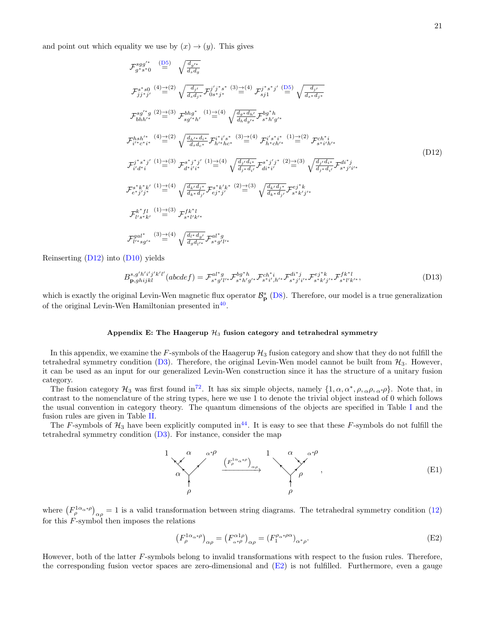and point out which equality we use by  $(x) \rightarrow (y)$ . This gives

<span id="page-20-1"></span>
$$
\mathcal{F}_{g+s}^{sgg'*} \stackrel{\text{(D5)}}{=} \sqrt{\frac{d_{g'}}{d_{s}d_{g}}}
$$
\n
$$
\mathcal{F}_{jj}^{s*} \stackrel{\text{(D5)}}{=} \sqrt{\frac{d_{j'}}{d_{s}d_{g}}} {\sqrt{\frac{d_{j'}}{d_{s}d_{j}}} \mathcal{F}_{0s}^{j'j^{*}s^{*}} \stackrel{\text{(3)}\rightarrow{4}}{=} \mathcal{F}_{j1}^{j^{*}s^{*}j'} \stackrel{\text{(D5)}}{=} \sqrt{\frac{d_{j'}}{d_{s}d_{j}}}^{d_{j'}}
$$
\n
$$
\mathcal{F}_{bhh'}^{sg'*g} \stackrel{\text{(2)}\rightarrow{4}}{=} \frac{3}{\sqrt{b_{g'}}^{b_{g'}}^{b_{g'}}} \quad \text{(1)}\stackrel{\text{(1)}}{=} \frac{4}{\sqrt{\frac{d_{g'}d_{h'}}{d_{h}}d_{g'}}} \mathcal{F}_{g*h'}^{bg'h}
$$
\n
$$
\mathcal{F}_{i'k}^{hs/*} \stackrel{\text{(4)}\rightarrow{4}}{=} \frac{2}{\sqrt{\frac{d_{h'}}{d_{s}}d_{s'}}} \mathcal{F}_{h'k}^{i'j^{*}s^{*}} \stackrel{\text{(3)}\rightarrow{4}}{=} \mathcal{F}_{h'k}^{i's^{*}i^{*}} \quad \text{(1)}\stackrel{\text{(1)}\rightarrow{4}}{=} \mathcal{F}_{s'i'h'k}^{i'j^{*}s^{*}i^{*}} \quad \text{(1)}\stackrel{\text{(2)}\rightarrow{4}}{=} \mathcal{F}_{s'i'h'k}^{i'j^{*}} \quad \text{(1)}\n\mathcal{F}_{i'd*}^{j^{*}s^{*}j'} \stackrel{\text{(1)}\rightarrow{4}}{=} \mathcal{F}_{i'd'k}^{i'j^{*}j^{*}i^{*}} \quad \text{(1)}\n\mathcal{F}_{i'd*}^{j^{*}g*j'} \stackrel{\text{(1)}\rightarrow{4}}{=} \mathcal{F}_{i'd'k}^{i'j^{*}i^{*}} \quad \text{(1)}\n\mathcal{F}_{i'd*}^{i''j^{*}i^{*}} \quad \text{(1)}\n\mathcal{F}_{i'd*}^{i''j^{*}i^{*}} \quad \text{(1)}\n\mathcal{F}_{i'd*}^{i''j^{*}i^{*}} \quad
$$

Reinserting  $(D12)$  into  $(D10)$  yields

$$
B_{\mathbf{p},ghijkl}^{s,g'h'i'j'k'l'}(abcdef) = \mathcal{F}_{s^*g'l'^*}^{al^*g} \mathcal{F}_{s^*h'g'^*}^{bg^*h} \mathcal{F}_{s^*i',h'^*}^{ch^*i} \mathcal{F}_{s^*j'i'^*}^{di^*j} \mathcal{F}_{s^*k'j'^*}^{ej^*k} \mathcal{F}_{s^*l'k'^*}^{fk^*l},\tag{D13}
$$

which is exactly the original Levin-Wen magnetic flux operator  $\mathcal{B}_{\mathbf{p}}^s$  [\(D8\)](#page-19-4). Therefore, our model is a true generalization of the original Levin-Wen Hamiltonian presented  $\text{in}^{40}$  $\text{in}^{40}$  $\text{in}^{40}$ .

## <span id="page-20-0"></span>Appendix E: The Haagerup  $H_3$  fusion category and tetrahedral symmetry

In this appendix, we examine the  $F$ -symbols of the Haagerup  $\mathcal{H}_3$  fusion category and show that they do not fulfill the tetrahedral symmetry condition [\(D3\)](#page-18-2). Therefore, the original Levin-Wen model cannot be built from  $\mathcal{H}_3$ . However, it can be used as an input for our generalized Levin-Wen construction since it has the structure of a unitary fusion category.

The fusion category  $\mathcal{H}_3$  was first found in<sup>[72](#page-23-8)</sup>. It has six simple objects, namely  $\{1, \alpha, \alpha^*, \rho, \alpha, \rho, \alpha^* \rho\}$ . Note that, in contrast to the nomenclature of the string types, here we use 1 to denote the trivial object instead of 0 which follows the usual convention in category theory. The quantum dimensions of the objects are specified in Table [I](#page-21-12) and the fusion rules are given in Table [II.](#page-21-13)

The F-symbols of  $\mathcal{H}_3$  have been explicitly computed in<sup>[44](#page-22-14)</sup>. It is easy to see that these F-symbols do not fulfill the tetrahedral symmetry condition [\(D3\)](#page-18-2). For instance, consider the map



where  $(F_\rho^{1\alpha_{\alpha}*\rho})_{\alpha\rho} = 1$  is a valid transformation between string diagrams. The tetrahedral symmetry condition [\(12\)](#page-2-5) for this  $F$ -symbol then imposes the relations

<span id="page-20-2"></span>
$$
\left(F_{\rho}^{1\alpha_{\alpha}*\rho}\right)_{\alpha\rho} = \left(F_{\alpha^{*\rho}}^{\alpha1\rho}\right)_{\alpha\rho} = \left(F_{1}^{\rho_{\alpha}*\rho\alpha}\right)_{\alpha^{*}\rho}.\tag{E2}
$$

However, both of the latter F-symbols belong to invalid transformations with respect to the fusion rules. Therefore, the corresponding fusion vector spaces are zero-dimensional and [\(E2\)](#page-20-2) is not fulfilled. Furthermore, even a gauge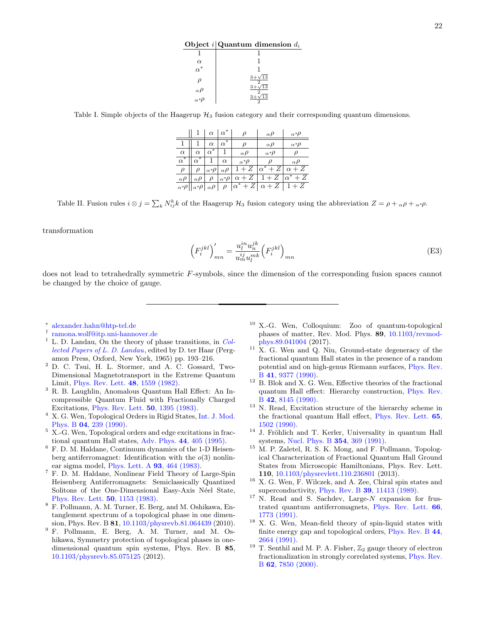Object  $i |$ Quantum dimension  $d_i$ 

| $\overset{\alpha}{\alpha}{}^*$ |                         |
|--------------------------------|-------------------------|
|                                | $3+\sqrt{13}$<br>$^{2}$ |
| $\alpha \rho$                  | $^{3+}$<br>$\sqrt{13}$  |
| $\alpha^*\rho$                 | 13                      |

<span id="page-21-12"></span>Table I. Simple objects of the Haagerup  $\mathcal{H}_3$  fusion category and their corresponding quantum dimensions.

|                | $ 1 \alpha \alpha^*$ |                                   |            | $\rho$                                                                           | $\alpha \rho$                                                        | $\alpha^*\rho$            |
|----------------|----------------------|-----------------------------------|------------|----------------------------------------------------------------------------------|----------------------------------------------------------------------|---------------------------|
|                |                      | $\alpha$                          | $\alpha^*$ | $\rho$                                                                           | $\alpha \rho$                                                        | $\alpha^*\rho$            |
| $\alpha$       | $\alpha$             | $\alpha^*$ .                      |            | $\alpha \rho$                                                                    | $\alpha^*\rho$                                                       | $\rho$                    |
| $\alpha^*$     | $\cdot \alpha^*$     |                                   | $\alpha$   | $\alpha^*\rho$                                                                   | Ω                                                                    | $\alpha \rho$             |
| $\rho$         |                      | $\rho \propto \rho  \alpha \rho $ |            | $1+Z$                                                                            | $\left  \alpha^*+Z \right  \alpha + Z$                               |                           |
| $\alpha \rho$  |                      |                                   |            | $\alpha \rho \mid \rho \mid_{\alpha^*} \rho \mid \alpha + Z \mid \overline{1+Z}$ |                                                                      | $\alpha^* + \overline{Z}$ |
| $\alpha^*\rho$ | $\alpha^* \rho$      |                                   |            |                                                                                  | $\alpha \rho \mid \rho \mid \alpha^* + Z \mid \alpha + Z \mid 1 + Z$ |                           |

<span id="page-21-13"></span>Table II. Fusion rules  $i \otimes j = \sum_k N_{ij}^k k$  of the Haagerup  $\mathcal{H}_3$  fusion category using the abbreviation  $Z = \rho + \alpha \rho + \alpha * \rho$ .

transformation

$$
\left(F_i^{jkl}\right)'_{mn} = \frac{u_i^{in}u_n^{jk}}{u_m^{ij}u_l^{mk}} \left(F_i^{jkl}\right)_{mn} \tag{E3}
$$

does not lead to tetrahedrally symmetric F-symbols, since the dimension of the corresponding fusion spaces cannot be changed by the choice of gauge.

- <span id="page-21-0"></span>∗ [alexander.hahn@htp-tel.de](mailto:alexander.hahn@htp-tel.de)
- <span id="page-21-1"></span>† [ramona.wolf@itp.uni-hannover.de](mailto:ramona.wolf@itp.uni-hannover.de)
- <span id="page-21-2"></span><sup>1</sup> L. D. Landau, On the theory of phase transitions, in [Col](https://doi.org/10.1016/b978-0-08-010586-4.50034-1)[lected Papers of L. D. Landau](https://doi.org/10.1016/b978-0-08-010586-4.50034-1), edited by D. ter Haar (Pergamon Press, Oxford, New York, 1965) pp. 193–216.
- <span id="page-21-3"></span><sup>2</sup> D. C. Tsui, H. L. Stormer, and A. C. Gossard, Two-Dimensional Magnetotransport in the Extreme Quantum Limit, [Phys. Rev. Lett.](https://doi.org/10.1103/physrevlett.48.1559) 48, 1559 (1982).
- <span id="page-21-4"></span><sup>3</sup> R. B. Laughlin, Anomalous Quantum Hall Effect: An Incompressible Quantum Fluid with Fractionally Charged Excitations, [Phys. Rev. Lett.](https://doi.org/10.1103/physrevlett.50.1395) 50, 1395 (1983).
- <span id="page-21-5"></span><sup>4</sup> X. G. Wen, Topological Orders in Rigid States, [Int. J. Mod.](https://doi.org/10.1142/s0217979290000139) Phys. B 04[, 239 \(1990\).](https://doi.org/10.1142/s0217979290000139)
- <span id="page-21-6"></span><sup>5</sup> X.-G. Wen, Topological orders and edge excitations in fractional quantum Hall states, Adv. Phys. 44[, 405 \(1995\).](https://doi.org/10.1080/00018739500101566)
- <span id="page-21-7"></span><sup>6</sup> F. D. M. Haldane, Continuum dynamics of the 1-D Heisenberg antiferromagnet: Identification with the  $o(3)$  nonlinear sigma model, [Phys. Lett. A](https://doi.org/10.1016/0375-9601(83)90631-x) 93, 464 (1983).
- <sup>7</sup> F. D. M. Haldane, Nonlinear Field Theory of Large-Spin Heisenberg Antiferromagnets: Semiclassically Quantized Solitons of the One-Dimensional Easy-Axis Néel State, [Phys. Rev. Lett.](https://doi.org/10.1103/physrevlett.50.1153) 50, 1153 (1983).
- <sup>8</sup> F. Pollmann, A. M. Turner, E. Berg, and M. Oshikawa, Entanglement spectrum of a topological phase in one dimension, Phys. Rev. B 81, [10.1103/physrevb.81.064439](https://doi.org/10.1103/physrevb.81.064439) (2010).
- <sup>9</sup> F. Pollmann, E. Berg, A. M. Turner, and M. Oshikawa, Symmetry protection of topological phases in onedimensional quantum spin systems, Phys. Rev. B 85, [10.1103/physrevb.85.075125](https://doi.org/10.1103/physrevb.85.075125) (2012).
- <span id="page-21-8"></span><sup>10</sup> X.-G. Wen, Colloquium: Zoo of quantum-topological phases of matter, Rev. Mod. Phys. 89, [10.1103/revmod](https://doi.org/10.1103/revmodphys.89.041004)[phys.89.041004](https://doi.org/10.1103/revmodphys.89.041004) (2017).
- <span id="page-21-9"></span> $11$  X. G. Wen and Q. Niu, Ground-state degeneracy of the fractional quantum Hall states in the presence of a random potential and on high-genus Riemann surfaces, [Phys. Rev.](https://doi.org/10.1103/physrevb.41.9377) B 41[, 9377 \(1990\).](https://doi.org/10.1103/physrevb.41.9377)
- $12$  B. Blok and X. G. Wen, Effective theories of the fractional quantum Hall effect: Hierarchy construction, [Phys. Rev.](https://doi.org/10.1103/physrevb.42.8145) B 42[, 8145 \(1990\).](https://doi.org/10.1103/physrevb.42.8145)
- <sup>13</sup> N. Read, Excitation structure of the hierarchy scheme in the fractional quantum Hall effect, [Phys. Rev. Lett.](https://doi.org/10.1103/physrevlett.65.1502) 65, [1502 \(1990\).](https://doi.org/10.1103/physrevlett.65.1502)
- $14$  J. Fröhlich and T. Kerler, Universality in quantum Hall systems, [Nucl. Phys. B](https://doi.org/10.1016/0550-3213(91)90360-a) 354, 369 (1991).
- <span id="page-21-10"></span><sup>15</sup> M. P. Zaletel, R. S. K. Mong, and F. Pollmann, Topological Characterization of Fractional Quantum Hall Ground States from Microscopic Hamiltonians, Phys. Rev. Lett. 110, [10.1103/physrevlett.110.236801](https://doi.org/10.1103/physrevlett.110.236801) (2013).
- <span id="page-21-11"></span> $^{16}$  X. G. Wen, F. Wilczek, and A. Zee, Chiral spin states and superconductivity, Phys. Rev. B 39[, 11413 \(1989\).](https://doi.org/10.1103/physrevb.39.11413)
- $17$  N. Read and S. Sachdev, Large- $N$  expansion for frustrated quantum antiferromagnets, [Phys. Rev. Lett.](https://doi.org/10.1103/physrevlett.66.1773) 66, [1773 \(1991\).](https://doi.org/10.1103/physrevlett.66.1773)
- <sup>18</sup> X. G. Wen, Mean-field theory of spin-liquid states with finite energy gap and topological orders, [Phys. Rev. B](https://doi.org/10.1103/physrevb.44.2664) 44, [2664 \(1991\).](https://doi.org/10.1103/physrevb.44.2664)
- $^{19}$  T. Senthil and M. P. A. Fisher,  $\mathbb{Z}_2$  gauge theory of electron fractionalization in strongly correlated systems, [Phys. Rev.](https://doi.org/10.1103/physrevb.62.7850) B 62[, 7850 \(2000\).](https://doi.org/10.1103/physrevb.62.7850)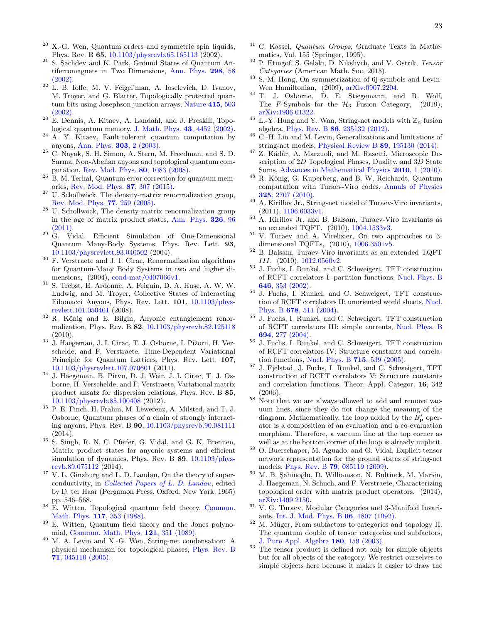- $20$  X.-G. Wen, Quantum orders and symmetric spin liquids, Phys. Rev. B 65, [10.1103/physrevb.65.165113](https://doi.org/10.1103/physrevb.65.165113) (2002).
- <span id="page-22-0"></span>S. Sachdev and K. Park, Ground States of Quantum Antiferromagnets in Two Dimensions, [Ann. Phys.](https://doi.org/10.1006/aphy.2002.6232) 298, 58 [\(2002\).](https://doi.org/10.1006/aphy.2002.6232)
- <span id="page-22-1"></span><sup>22</sup> L. B. Ioffe, M. V. Feigel'man, A. Ioselevich, D. Ivanov, M. Troyer, and G. Blatter, Topologically protected quantum bits using Josephson junction arrays, [Nature](https://doi.org/10.1038/415503a) 415, 503 [\(2002\).](https://doi.org/10.1038/415503a)
- <sup>23</sup> E. Dennis, A. Kitaev, A. Landahl, and J. Preskill, Topological quantum memory, [J. Math. Phys.](https://doi.org/10.1063/1.1499754) 43, 4452 (2002).
- <sup>24</sup> A. Y. Kitaev, Fault-tolerant quantum computation by anyons, [Ann. Phys.](https://doi.org/10.1016/s0003-4916(02)00018-0) 303, 2 (2003).
- <sup>25</sup> C. Nayak, S. H. Simon, A. Stern, M. Freedman, and S. D. Sarma, Non-Abelian anyons and topological quantum computation, [Rev. Mod. Phys.](https://doi.org/10.1103/revmodphys.80.1083) 80, 1083 (2008).
- <span id="page-22-2"></span><sup>26</sup> B. M. Terhal, Quantum error correction for quantum memories, [Rev. Mod. Phys.](https://doi.org/10.1103/revmodphys.87.307) 87, 307 (2015).
- <span id="page-22-3"></span> $27$  U. Schollwöck, The density-matrix renormalization group, [Rev. Mod. Phys.](https://doi.org/10.1103/revmodphys.77.259) 77, 259 (2005).
- <span id="page-22-4"></span> $28$  U. Schollwöck, The density-matrix renormalization group in the age of matrix product states, [Ann. Phys.](https://doi.org/10.1016/j.aop.2010.09.012) 326, 96 [\(2011\).](https://doi.org/10.1016/j.aop.2010.09.012)
- <span id="page-22-5"></span> $29 \text{ G.}$  Vidal, Efficient Simulation of One-Dimensional Quantum Many-Body Systems, Phys. Rev. Lett. 93, [10.1103/physrevlett.93.040502](https://doi.org/10.1103/physrevlett.93.040502) (2004).
- <sup>30</sup> F. Verstraete and J. I. Cirac, Renormalization algorithms for Quantum-Many Body Systems in two and higher dimensions, (2004), [cond-mat/0407066v1.](https://arxiv.org/abs/cond-mat/0407066v1)
- <sup>31</sup> S. Trebst, E. Ardonne, A. Feiguin, D. A. Huse, A. W. W. Ludwig, and M. Troyer, Collective States of Interacting Fibonacci Anyons, Phys. Rev. Lett. 101, [10.1103/phys](https://doi.org/10.1103/physrevlett.101.050401)[revlett.101.050401](https://doi.org/10.1103/physrevlett.101.050401) (2008).
- $32$  R. König and E. Bilgin, Anyonic entanglement renormalization, Phys. Rev. B 82, [10.1103/physrevb.82.125118](https://doi.org/10.1103/physrevb.82.125118) (2010).
- $33\,$  J. Haegeman, J. I. Cirac, T. J. Osborne, I. Pižorn, H. Verschelde, and F. Verstraete, Time-Dependent Variational Principle for Quantum Lattices, Phys. Rev. Lett. 107, [10.1103/physrevlett.107.070601](https://doi.org/10.1103/physrevlett.107.070601) (2011).
- <sup>34</sup> J. Haegeman, B. Pirvu, D. J. Weir, J. I. Cirac, T. J. Osborne, H. Verschelde, and F. Verstraete, Variational matrix product ansatz for dispersion relations, Phys. Rev. B 85, [10.1103/physrevb.85.100408](https://doi.org/10.1103/physrevb.85.100408) (2012).
- <sup>35</sup> P. E. Finch, H. Frahm, M. Lewerenz, A. Milsted, and T. J. Osborne, Quantum phases of a chain of strongly interacting anyons, Phys. Rev. B 90, [10.1103/physrevb.90.081111](https://doi.org/10.1103/physrevb.90.081111) (2014).
- <span id="page-22-6"></span><sup>36</sup> S. Singh, R. N. C. Pfeifer, G. Vidal, and G. K. Brennen, Matrix product states for anyonic systems and efficient simulation of dynamics, Phys. Rev. B 89, [10.1103/phys](https://doi.org/10.1103/physrevb.89.075112)[revb.89.075112](https://doi.org/10.1103/physrevb.89.075112) (2014).
- <span id="page-22-7"></span><sup>37</sup> V. L. Ginzburg and L. D. Landau, On the theory of superconductivity, in [Collected Papers of L. D. Landau](https://doi.org/10.1016/b978-0-08-010586-4.50078-x), edited by D. ter Haar (Pergamon Press, Oxford, New York, 1965) pp. 546–568.
- <span id="page-22-8"></span><sup>38</sup> E. Witten, Topological quantum field theory, [Commun.](https://doi.org/10.1007/bf01223371) [Math. Phys.](https://doi.org/10.1007/bf01223371) 117, 353 (1988).
- <span id="page-22-9"></span><sup>39</sup> E. Witten, Quantum field theory and the Jones polynomial, [Commun. Math. Phys.](https://doi.org/10.1007/bf01217730) 121, 351 (1989).
- <span id="page-22-10"></span><sup>40</sup> M. A. Levin and X.-G. Wen, String-net condensation: A physical mechanism for topological phases, [Phys. Rev. B](https://doi.org/10.1103/PhysRevB.71.045110) 71[, 045110 \(2005\).](https://doi.org/10.1103/PhysRevB.71.045110)
- <span id="page-22-11"></span>C. Kassel, Quantum Groups, Graduate Texts in Mathematics, Vol. 155 (Springer, 1995).
- <span id="page-22-12"></span><sup>42</sup> P. Etingof, S. Gelaki, D. Nikshych, and V. Ostrik, Tensor Categories (American Math. Soc, 2015).
- <span id="page-22-13"></span><sup>43</sup> S.-M. Hong, On symmetrization of 6j-symbols and Levin-Wen Hamiltonian, (2009), [arXiv:0907.2204.](https://arxiv.org/abs/arXiv:0907.2204)
- <span id="page-22-14"></span><sup>44</sup> T. J. Osborne, D. E. Stiegemann, and R. Wolf, The F-Symbols for the  $H_3$  Fusion Category, (2019), [arXiv:1906.01322.](https://arxiv.org/abs/arXiv:1906.01322)
- <span id="page-22-15"></span> $^{45}$  L.-Y. Hung and Y. Wan, String-net models with  $\mathbb{Z}_n$  fusion algebra, Phys. Rev. B 86[, 235132 \(2012\).](https://doi.org/10.1103/physrevb.86.235132)
- <span id="page-22-16"></span> $^{46}$  C.-H. Lin and M. Levin, Generalizations and limitations of string-net models, [Physical Review B](https://doi.org/10.1103/physrevb.89.195130) 89, 195130 (2014).
- <span id="page-22-17"></span><sup>47</sup> Z. Kădár, A. Marzuoli, and M. Rasetti, Microscopic Description of 2D Topological Phases, Duality, and 3D State Sums, [Advances in Mathematical Physics](https://doi.org/10.1155/2010/671039) 2010, 1 (2010).
- $^{48}$  R. König, G. Kuperberg, and B. W. Reichardt, Quantum computation with Turaev-Viro codes, [Annals of Physics](https://doi.org/10.1016/j.aop.2010.08.001) 325[, 2707 \(2010\).](https://doi.org/10.1016/j.aop.2010.08.001)
- <span id="page-22-18"></span><sup>49</sup> A. Kirillov Jr., String-net model of Turaev-Viro invariants, (2011), [1106.6033v1.](https://arxiv.org/abs/1106.6033v1)
- <span id="page-22-19"></span><sup>50</sup> A. Kirillov Jr. and B. Balsam, Turaev-Viro invariants as an extended TQFT, (2010), [1004.1533v3.](https://arxiv.org/abs/1004.1533v3)
- <sup>51</sup> V. Turaev and A. Virelizier, On two approaches to 3 dimensional TQFTs, (2010), [1006.3501v5.](https://arxiv.org/abs/1006.3501v5)
- <span id="page-22-20"></span> $52$  B. Balsam, Turaev-Viro invariants as an extended TQFT III, (2010), [1012.0560v2.](https://arxiv.org/abs/1012.0560v2)
- <span id="page-22-21"></span><sup>53</sup> J. Fuchs, I. Runkel, and C. Schweigert, TFT construction of RCFT correlators I: partition functions, [Nucl. Phys. B](https://doi.org/10.1016/s0550-3213(02)00744-7) 646[, 353 \(2002\).](https://doi.org/10.1016/s0550-3213(02)00744-7)
- <sup>54</sup> J. Fuchs, I. Runkel, and C. Schweigert, TFT construction of RCFT correlators II: unoriented world sheets, [Nucl.](https://doi.org/10.1016/j.nuclphysb.2003.11.026) Phys. B 678[, 511 \(2004\).](https://doi.org/10.1016/j.nuclphysb.2003.11.026)
- $^{55}$  J. Fuchs, I. Runkel, and C. Schweigert, TFT construction of RCFT correlators III: simple currents, [Nucl. Phys. B](https://doi.org/10.1016/j.nuclphysb.2004.05.014) 694[, 277 \(2004\).](https://doi.org/10.1016/j.nuclphysb.2004.05.014)
- <sup>56</sup> J. Fuchs, I. Runkel, and C. Schweigert, TFT construction of RCFT correlators IV: Structure constants and correlation functions, [Nucl. Phys. B](https://doi.org/10.1016/j.nuclphysb.2005.03.018) 715, 539 (2005).
- <span id="page-22-22"></span> $^{57}$  J. Fjelstad, J. Fuchs, I. Runkel, and C. Schweigert, TFT construction of RCFT correlators V: Structure constants and correlation functions, Theor. Appl. Categor. 16, 342 (2006).
- <span id="page-22-23"></span> $58$  Note that we are always allowed to add and remove vacuum lines, since they do not change the meaning of the diagram. Mathematically, the loop added by the  $B_p^s$  operator is a composition of an evaluation and a co-evaluation morphism. Therefore, a vacuum line at the top corner as well as at the bottom corner of the loop is already implicit.
- <span id="page-22-24"></span><sup>59</sup> O. Buerschaper, M. Aguado, and G. Vidal, Explicit tensor network representation for the ground states of string-net models, Phys. Rev. B 79[, 085119 \(2009\).](https://doi.org/10.1103/physrevb.79.085119)
- <span id="page-22-25"></span> $60$  M. B. Sahinoğlu, D. Williamson, N. Bultinck, M. Mariën, J. Haegeman, N. Schuch, and F. Verstraete, Characterizing topological order with matrix product operators, (2014), [arXiv:1409.2150.](https://arxiv.org/abs/arXiv:1409.2150)
- <span id="page-22-26"></span><sup>61</sup> V. G. Turaev, Modular Categories and 3-Manifold Invariants, [Int. J. Mod. Phys. B](https://doi.org/10.1142/s0217979292000876) 06, 1807 (1992).
- <span id="page-22-27"></span> $62$  M. Müger, From subfactors to categories and topology II: The quantum double of tensor categories and subfactors, [J. Pure Appl. Algebra](https://doi.org/10.1016/s0022-4049(02)00248-7) 180, 159 (2003).
- <span id="page-22-28"></span><sup>63</sup> The tensor product is defined not only for simple objects but for all objects of the category. We restrict ourselves to simple objects here because it makes it easier to draw the